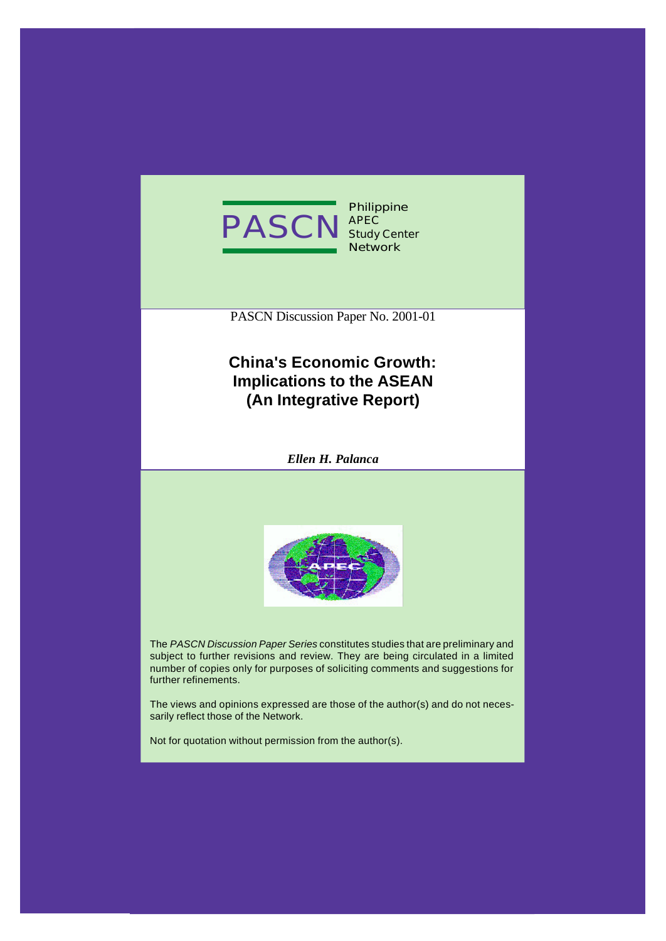

**Philippine APEC Study Center Network**

PASCN Discussion Paper No. 2001-01

# **China's Economic Growth: Implications to the ASEAN (An Integrative Report)**

*Ellen H. Palanca*



The *PASCN Discussion Paper Series* constitutes studies that are preliminary and subject to further revisions and review. They are being circulated in a limited number of copies only for purposes of soliciting comments and suggestions for further refinements.

The views and opinions expressed are those of the author(s) and do not necessarily reflect those of the Network.

Not for quotation without permission from the author(s).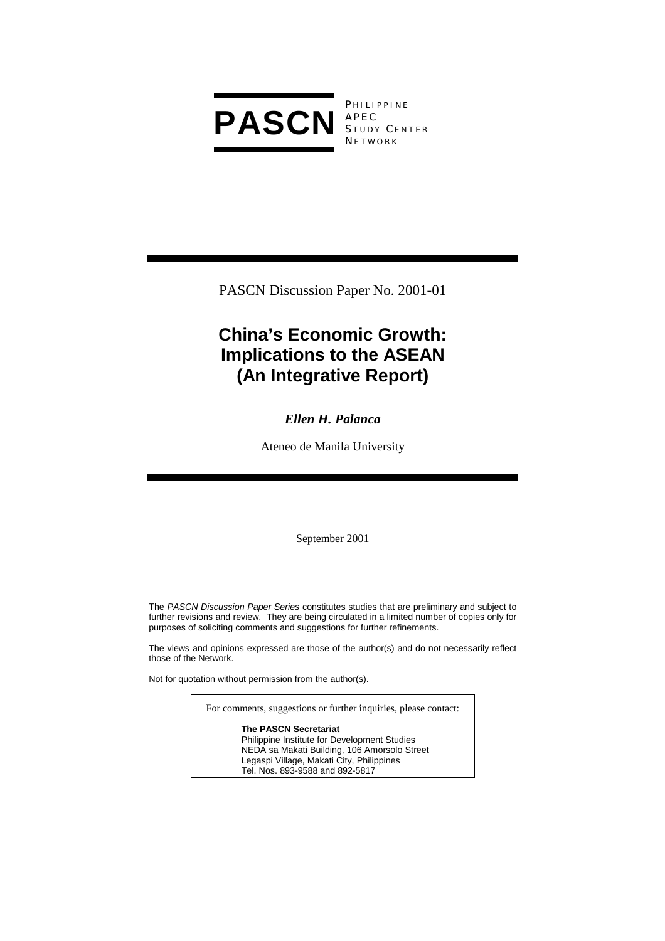

**PHILIPPINE** S TUDY C ENTER **NETWORK** 

PASCN Discussion Paper No. 2001-01

# **China's Economic Growth: Implications to the ASEAN (An Integrative Report)**

# *Ellen H. Palanca*

Ateneo de Manila University

September 2001

The *PASCN Discussion Paper Series* constitutes studies that are preliminary and subject to further revisions and review. They are being circulated in a limited number of copies only for purposes of soliciting comments and suggestions for further refinements.

The views and opinions expressed are those of the author(s) and do not necessarily reflect those of the Network.

Not for quotation without permission from the author(s).

For comments, suggestions or further inquiries, please contact: **The PASCN Secretariat** Philippine Institute for Development Studies NEDA sa Makati Building, 106 Amorsolo Street Legaspi Village, Makati City, Philippines Tel. Nos. 893-9588 and 892-5817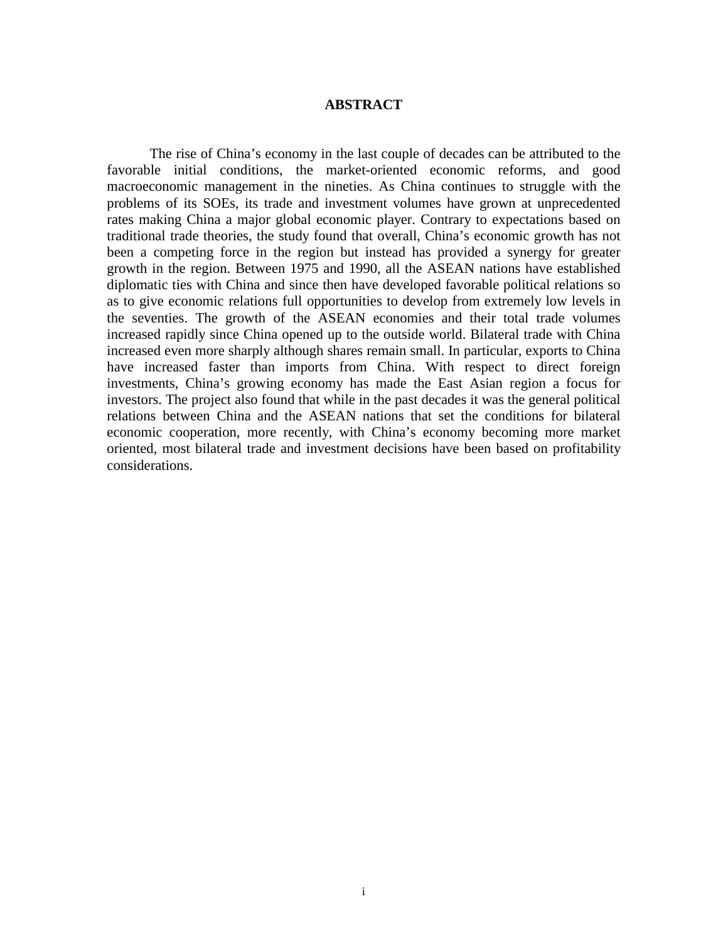# **ABSTRACT**

The rise of China's economy in the last couple of decades can be attributed to the favorable initial conditions, the market-oriented economic reforms, and good macroeconomic management in the nineties. As China continues to struggle with the problems of its SOEs, its trade and investment volumes have grown at unprecedented rates making China a major global economic player. Contrary to expectations based on traditional trade theories, the study found that overall, China's economic growth has not been a competing force in the region but instead has provided a synergy for greater growth in the region. Between 1975 and 1990, all the ASEAN nations have established diplomatic ties with China and since then have developed favorable political relations so as to give economic relations full opportunities to develop from extremely low levels in the seventies. The growth of the ASEAN economies and their total trade volumes increased rapidly since China opened up to the outside world. Bilateral trade with China increased even more sharply although shares remain small. In particular, exports to China have increased faster than imports from China. With respect to direct foreign investments, China's growing economy has made the East Asian region a focus for investors. The project also found that while in the past decades it was the general political relations between China and the ASEAN nations that set the conditions for bilateral economic cooperation, more recently, with China's economy becoming more market oriented, most bilateral trade and investment decisions have been based on profitability considerations.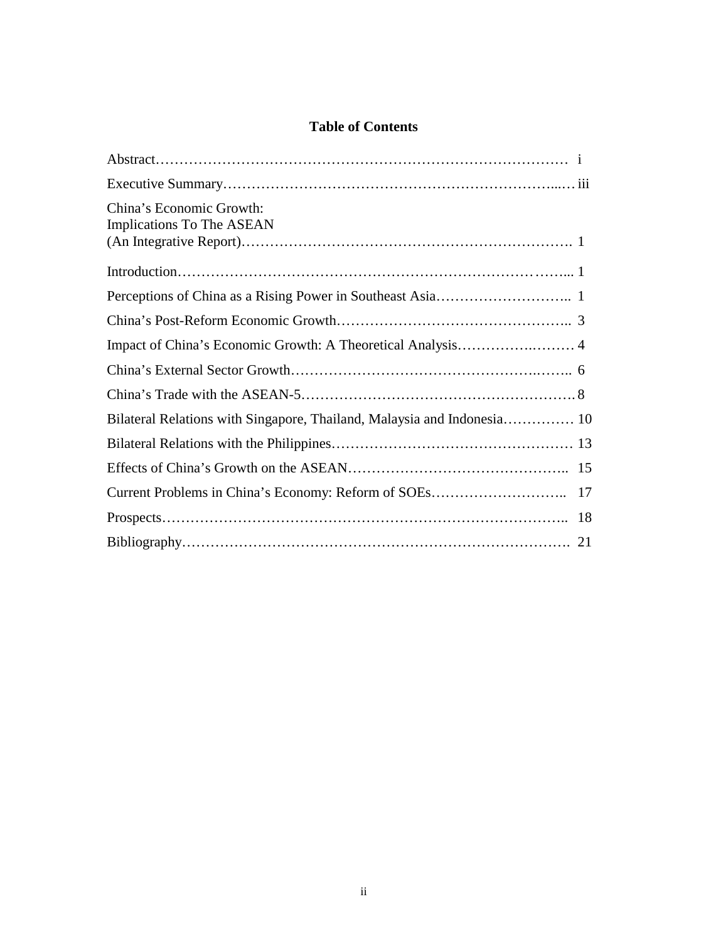# **Table of Contents**

| China's Economic Growth:<br>Implications To The ASEAN                   |  |
|-------------------------------------------------------------------------|--|
|                                                                         |  |
|                                                                         |  |
|                                                                         |  |
|                                                                         |  |
|                                                                         |  |
|                                                                         |  |
| Bilateral Relations with Singapore, Thailand, Malaysia and Indonesia 10 |  |
|                                                                         |  |
|                                                                         |  |
|                                                                         |  |
|                                                                         |  |
|                                                                         |  |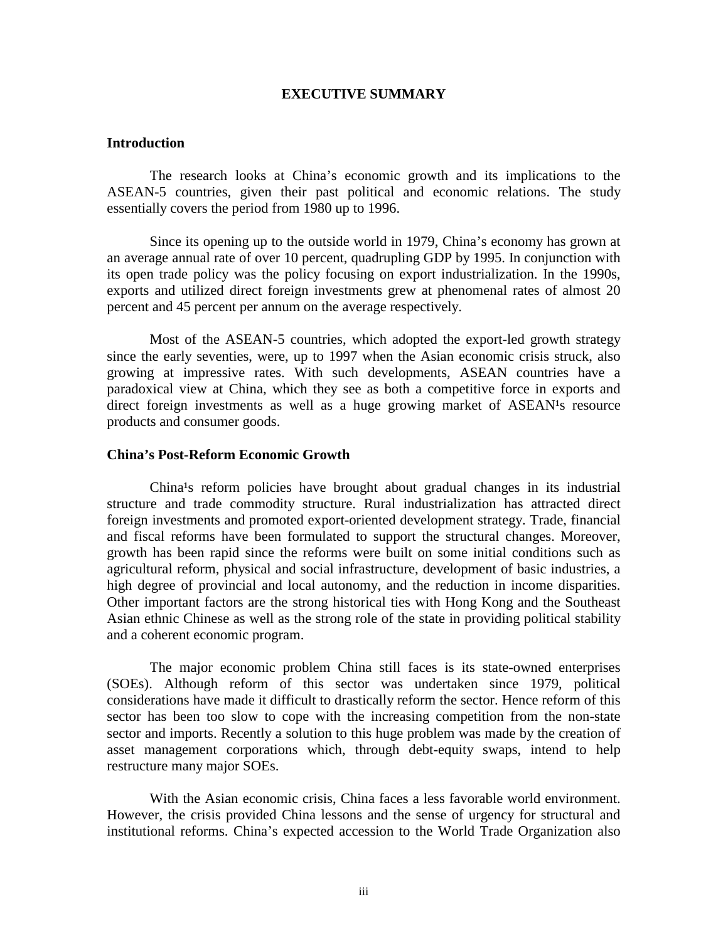#### **EXECUTIVE SUMMARY**

#### **Introduction**

The research looks at China's economic growth and its implications to the ASEAN-5 countries, given their past political and economic relations. The study essentially covers the period from 1980 up to 1996.

Since its opening up to the outside world in 1979, China's economy has grown at an average annual rate of over 10 percent, quadrupling GDP by 1995. In conjunction with its open trade policy was the policy focusing on export industrialization. In the 1990s, exports and utilized direct foreign investments grew at phenomenal rates of almost 20 percent and 45 percent per annum on the average respectively.

Most of the ASEAN-5 countries, which adopted the export-led growth strategy since the early seventies, were, up to 1997 when the Asian economic crisis struck, also growing at impressive rates. With such developments, ASEAN countries have a paradoxical view at China, which they see as both a competitive force in exports and direct foreign investments as well as a huge growing market of ASEAN<sup>1</sup>s resource products and consumer goods.

#### **China's Post-Reform Economic Growth**

China<sup>1</sup>s reform policies have brought about gradual changes in its industrial structure and trade commodity structure. Rural industrialization has attracted direct foreign investments and promoted export-oriented development strategy. Trade, financial and fiscal reforms have been formulated to support the structural changes. Moreover, growth has been rapid since the reforms were built on some initial conditions such as agricultural reform, physical and social infrastructure, development of basic industries, a high degree of provincial and local autonomy, and the reduction in income disparities. Other important factors are the strong historical ties with Hong Kong and the Southeast Asian ethnic Chinese as well as the strong role of the state in providing political stability and a coherent economic program.

The major economic problem China still faces is its state-owned enterprises (SOEs). Although reform of this sector was undertaken since 1979, political considerations have made it difficult to drastically reform the sector. Hence reform of this sector has been too slow to cope with the increasing competition from the non-state sector and imports. Recently a solution to this huge problem was made by the creation of asset management corporations which, through debt-equity swaps, intend to help restructure many major SOEs.

With the Asian economic crisis, China faces a less favorable world environment. However, the crisis provided China lessons and the sense of urgency for structural and institutional reforms. China's expected accession to the World Trade Organization also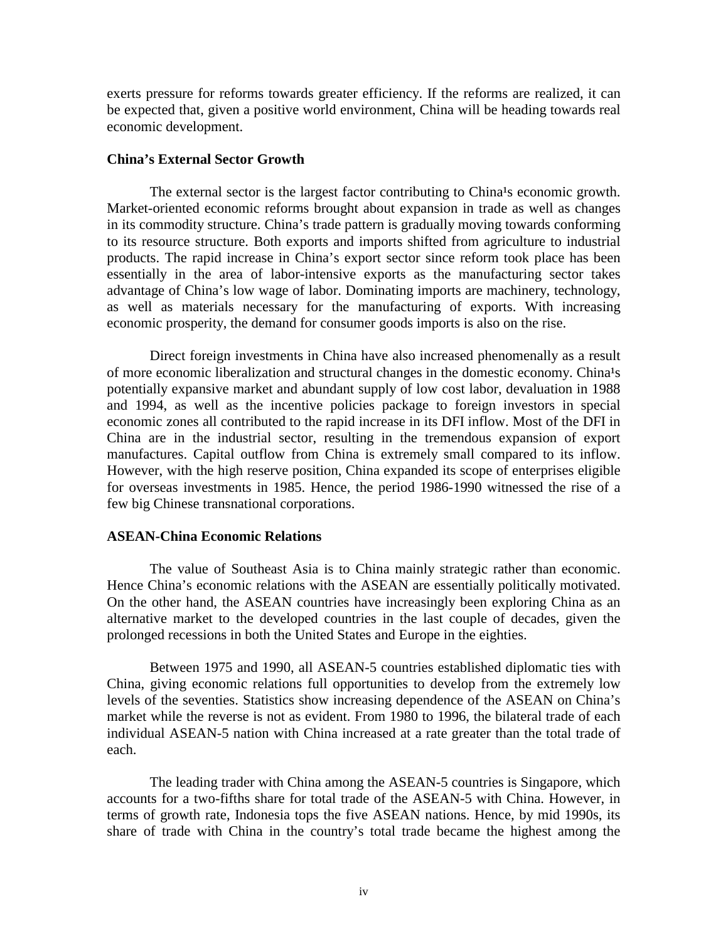exerts pressure for reforms towards greater efficiency. If the reforms are realized, it can be expected that, given a positive world environment, China will be heading towards real economic development.

#### **China's External Sector Growth**

The external sector is the largest factor contributing to China<sup>1</sup>s economic growth. Market-oriented economic reforms brought about expansion in trade as well as changes in its commodity structure. China's trade pattern is gradually moving towards conforming to its resource structure. Both exports and imports shifted from agriculture to industrial products. The rapid increase in China's export sector since reform took place has been essentially in the area of labor-intensive exports as the manufacturing sector takes advantage of China's low wage of labor. Dominating imports are machinery, technology, as well as materials necessary for the manufacturing of exports. With increasing economic prosperity, the demand for consumer goods imports is also on the rise.

Direct foreign investments in China have also increased phenomenally as a result of more economic liberalization and structural changes in the domestic economy. China<sup>1</sup>s potentially expansive market and abundant supply of low cost labor, devaluation in 1988 and 1994, as well as the incentive policies package to foreign investors in special economic zones all contributed to the rapid increase in its DFI inflow. Most of the DFI in China are in the industrial sector, resulting in the tremendous expansion of export manufactures. Capital outflow from China is extremely small compared to its inflow. However, with the high reserve position, China expanded its scope of enterprises eligible for overseas investments in 1985. Hence, the period 1986-1990 witnessed the rise of a few big Chinese transnational corporations.

#### **ASEAN-China Economic Relations**

The value of Southeast Asia is to China mainly strategic rather than economic. Hence China's economic relations with the ASEAN are essentially politically motivated. On the other hand, the ASEAN countries have increasingly been exploring China as an alternative market to the developed countries in the last couple of decades, given the prolonged recessions in both the United States and Europe in the eighties.

Between 1975 and 1990, all ASEAN-5 countries established diplomatic ties with China, giving economic relations full opportunities to develop from the extremely low levels of the seventies. Statistics show increasing dependence of the ASEAN on China's market while the reverse is not as evident. From 1980 to 1996, the bilateral trade of each individual ASEAN-5 nation with China increased at a rate greater than the total trade of each.

 The leading trader with China among the ASEAN-5 countries is Singapore, which accounts for a two-fifths share for total trade of the ASEAN-5 with China. However, in terms of growth rate, Indonesia tops the five ASEAN nations. Hence, by mid 1990s, its share of trade with China in the country's total trade became the highest among the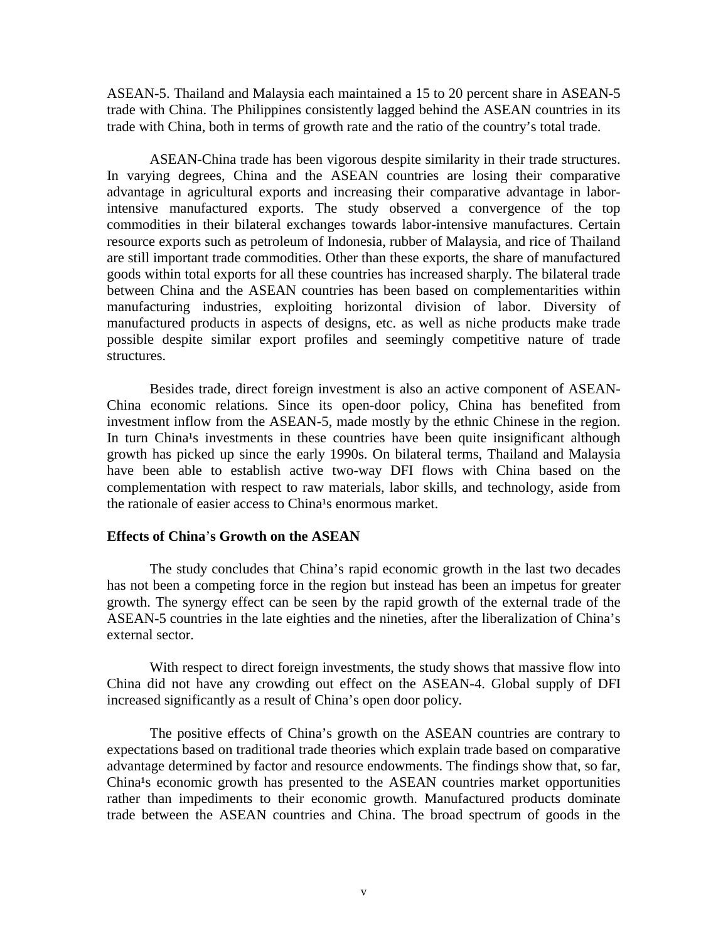ASEAN-5. Thailand and Malaysia each maintained a 15 to 20 percent share in ASEAN-5 trade with China. The Philippines consistently lagged behind the ASEAN countries in its trade with China, both in terms of growth rate and the ratio of the country's total trade.

ASEAN-China trade has been vigorous despite similarity in their trade structures. In varying degrees, China and the ASEAN countries are losing their comparative advantage in agricultural exports and increasing their comparative advantage in laborintensive manufactured exports. The study observed a convergence of the top commodities in their bilateral exchanges towards labor-intensive manufactures. Certain resource exports such as petroleum of Indonesia, rubber of Malaysia, and rice of Thailand are still important trade commodities. Other than these exports, the share of manufactured goods within total exports for all these countries has increased sharply. The bilateral trade between China and the ASEAN countries has been based on complementarities within manufacturing industries, exploiting horizontal division of labor. Diversity of manufactured products in aspects of designs, etc. as well as niche products make trade possible despite similar export profiles and seemingly competitive nature of trade structures.

Besides trade, direct foreign investment is also an active component of ASEAN-China economic relations. Since its open-door policy, China has benefited from investment inflow from the ASEAN-5, made mostly by the ethnic Chinese in the region. In turn China<sup>1</sup>s investments in these countries have been quite insignificant although growth has picked up since the early 1990s. On bilateral terms, Thailand and Malaysia have been able to establish active two-way DFI flows with China based on the complementation with respect to raw materials, labor skills, and technology, aside from the rationale of easier access to China<sup>1</sup>s enormous market.

#### **Effects of China**'**s Growth on the ASEAN**

The study concludes that China's rapid economic growth in the last two decades has not been a competing force in the region but instead has been an impetus for greater growth. The synergy effect can be seen by the rapid growth of the external trade of the ASEAN-5 countries in the late eighties and the nineties, after the liberalization of China's external sector.

With respect to direct foreign investments, the study shows that massive flow into China did not have any crowding out effect on the ASEAN-4. Global supply of DFI increased significantly as a result of China's open door policy.

The positive effects of China's growth on the ASEAN countries are contrary to expectations based on traditional trade theories which explain trade based on comparative advantage determined by factor and resource endowments. The findings show that, so far, China<sup>1</sup>s economic growth has presented to the ASEAN countries market opportunities rather than impediments to their economic growth. Manufactured products dominate trade between the ASEAN countries and China. The broad spectrum of goods in the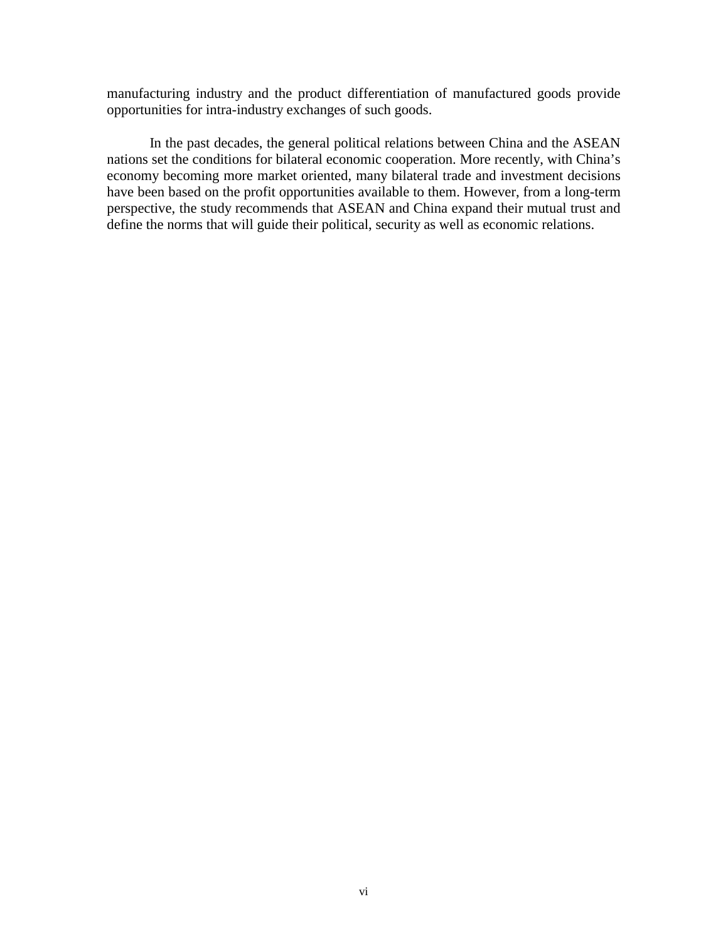manufacturing industry and the product differentiation of manufactured goods provide opportunities for intra-industry exchanges of such goods.

In the past decades, the general political relations between China and the ASEAN nations set the conditions for bilateral economic cooperation. More recently, with China's economy becoming more market oriented, many bilateral trade and investment decisions have been based on the profit opportunities available to them. However, from a long-term perspective, the study recommends that ASEAN and China expand their mutual trust and define the norms that will guide their political, security as well as economic relations.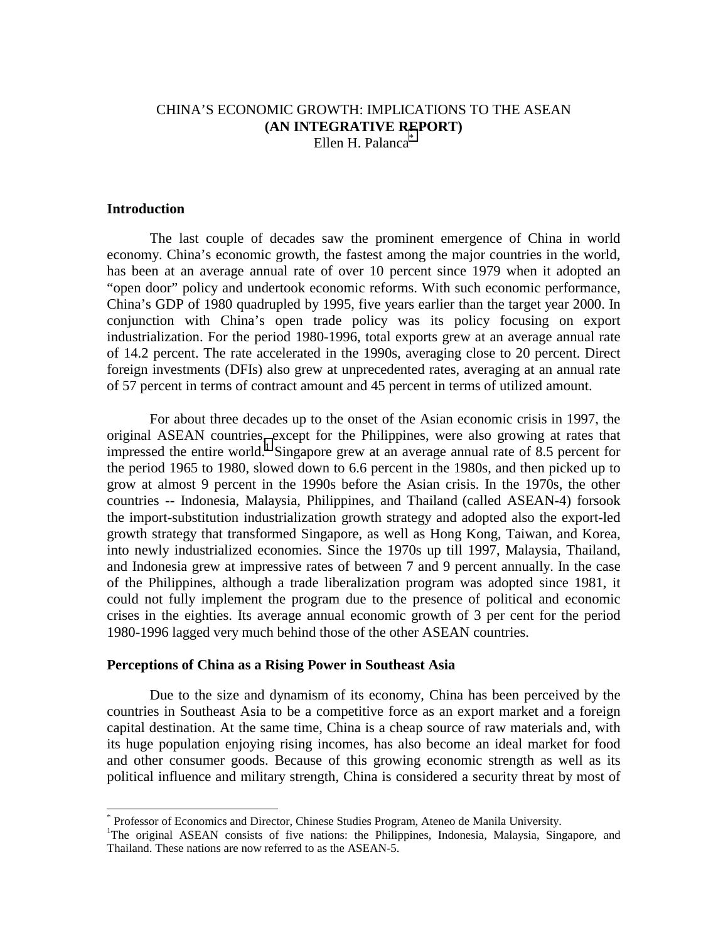### CHINA'S ECONOMIC GROWTH: IMPLICATIONS TO THE ASEAN **(AN INTEGRATIVE REPORT)**  Ellen H. Palanca<sup>\*</sup>

## **Introduction**

 $\overline{a}$ 

The last couple of decades saw the prominent emergence of China in world economy. China's economic growth, the fastest among the major countries in the world, has been at an average annual rate of over 10 percent since 1979 when it adopted an "open door" policy and undertook economic reforms. With such economic performance, China's GDP of 1980 quadrupled by 1995, five years earlier than the target year 2000. In conjunction with China's open trade policy was its policy focusing on export industrialization. For the period 1980-1996, total exports grew at an average annual rate of 14.2 percent. The rate accelerated in the 1990s, averaging close to 20 percent. Direct foreign investments (DFIs) also grew at unprecedented rates, averaging at an annual rate of 57 percent in terms of contract amount and 45 percent in terms of utilized amount.

For about three decades up to the onset of the Asian economic crisis in 1997, the original ASEAN countries, except for the Philippines, were also growing at rates that impressed the entire world.<sup>1</sup> Singapore grew at an average annual rate of 8.5 percent for the period 1965 to 1980, slowed down to 6.6 percent in the 1980s, and then picked up to grow at almost 9 percent in the 1990s before the Asian crisis. In the 1970s, the other countries -- Indonesia, Malaysia, Philippines, and Thailand (called ASEAN-4) forsook the import-substitution industrialization growth strategy and adopted also the export-led growth strategy that transformed Singapore, as well as Hong Kong, Taiwan, and Korea, into newly industrialized economies. Since the 1970s up till 1997, Malaysia, Thailand, and Indonesia grew at impressive rates of between 7 and 9 percent annually. In the case of the Philippines, although a trade liberalization program was adopted since 1981, it could not fully implement the program due to the presence of political and economic crises in the eighties. Its average annual economic growth of 3 per cent for the period 1980-1996 lagged very much behind those of the other ASEAN countries.

#### **Perceptions of China as a Rising Power in Southeast Asia**

Due to the size and dynamism of its economy, China has been perceived by the countries in Southeast Asia to be a competitive force as an export market and a foreign capital destination. At the same time, China is a cheap source of raw materials and, with its huge population enjoying rising incomes, has also become an ideal market for food and other consumer goods. Because of this growing economic strength as well as its political influence and military strength, China is considered a security threat by most of

<sup>\*</sup> Professor of Economics and Director, Chinese Studies Program, Ateneo de Manila University.

<sup>&</sup>lt;sup>1</sup>The original ASEAN consists of five nations: the Philippines, Indonesia, Malaysia, Singapore, and Thailand. These nations are now referred to as the ASEAN-5.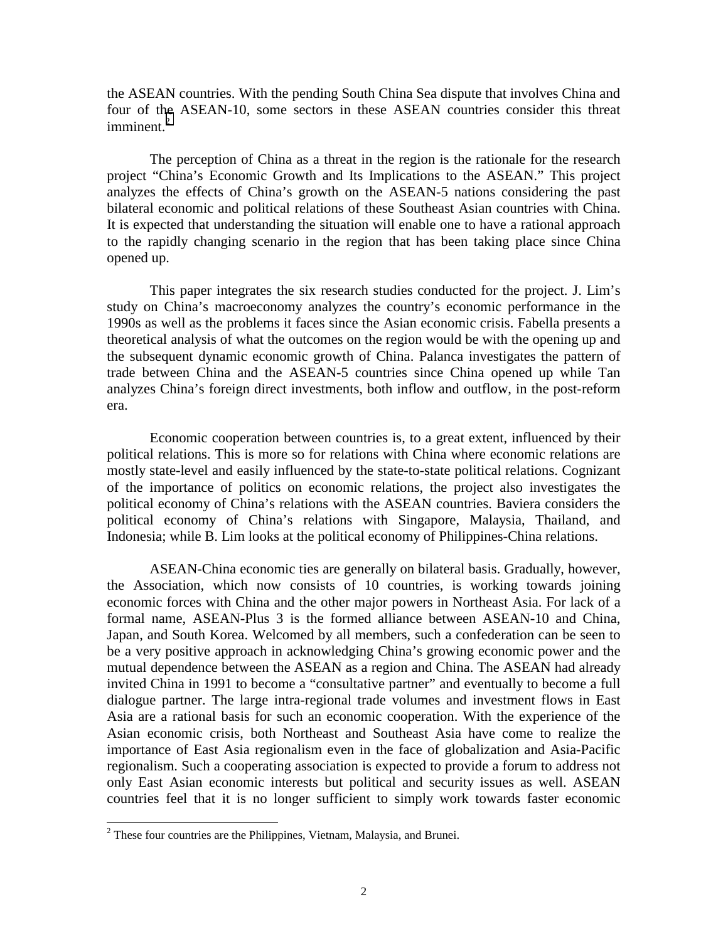the ASEAN countries. With the pending South China Sea dispute that involves China and four of the ASEAN-10, some sectors in these ASEAN countries consider this threat  $imminent.<sup>2</sup>$ 

The perception of China as a threat in the region is the rationale for the research project "China's Economic Growth and Its Implications to the ASEAN." This project analyzes the effects of China's growth on the ASEAN-5 nations considering the past bilateral economic and political relations of these Southeast Asian countries with China. It is expected that understanding the situation will enable one to have a rational approach to the rapidly changing scenario in the region that has been taking place since China opened up.

This paper integrates the six research studies conducted for the project. J. Lim's study on China's macroeconomy analyzes the country's economic performance in the 1990s as well as the problems it faces since the Asian economic crisis. Fabella presents a theoretical analysis of what the outcomes on the region would be with the opening up and the subsequent dynamic economic growth of China. Palanca investigates the pattern of trade between China and the ASEAN-5 countries since China opened up while Tan analyzes China's foreign direct investments, both inflow and outflow, in the post-reform era.

Economic cooperation between countries is, to a great extent, influenced by their political relations. This is more so for relations with China where economic relations are mostly state-level and easily influenced by the state-to-state political relations. Cognizant of the importance of politics on economic relations, the project also investigates the political economy of China's relations with the ASEAN countries. Baviera considers the political economy of China's relations with Singapore, Malaysia, Thailand, and Indonesia; while B. Lim looks at the political economy of Philippines-China relations.

ASEAN-China economic ties are generally on bilateral basis. Gradually, however, the Association, which now consists of 10 countries, is working towards joining economic forces with China and the other major powers in Northeast Asia. For lack of a formal name, ASEAN-Plus 3 is the formed alliance between ASEAN-10 and China, Japan, and South Korea. Welcomed by all members, such a confederation can be seen to be a very positive approach in acknowledging China's growing economic power and the mutual dependence between the ASEAN as a region and China. The ASEAN had already invited China in 1991 to become a "consultative partner" and eventually to become a full dialogue partner. The large intra-regional trade volumes and investment flows in East Asia are a rational basis for such an economic cooperation. With the experience of the Asian economic crisis, both Northeast and Southeast Asia have come to realize the importance of East Asia regionalism even in the face of globalization and Asia-Pacific regionalism. Such a cooperating association is expected to provide a forum to address not only East Asian economic interests but political and security issues as well. ASEAN countries feel that it is no longer sufficient to simply work towards faster economic

<sup>&</sup>lt;sup>2</sup> These four countries are the Philippines, Vietnam, Malaysia, and Brunei.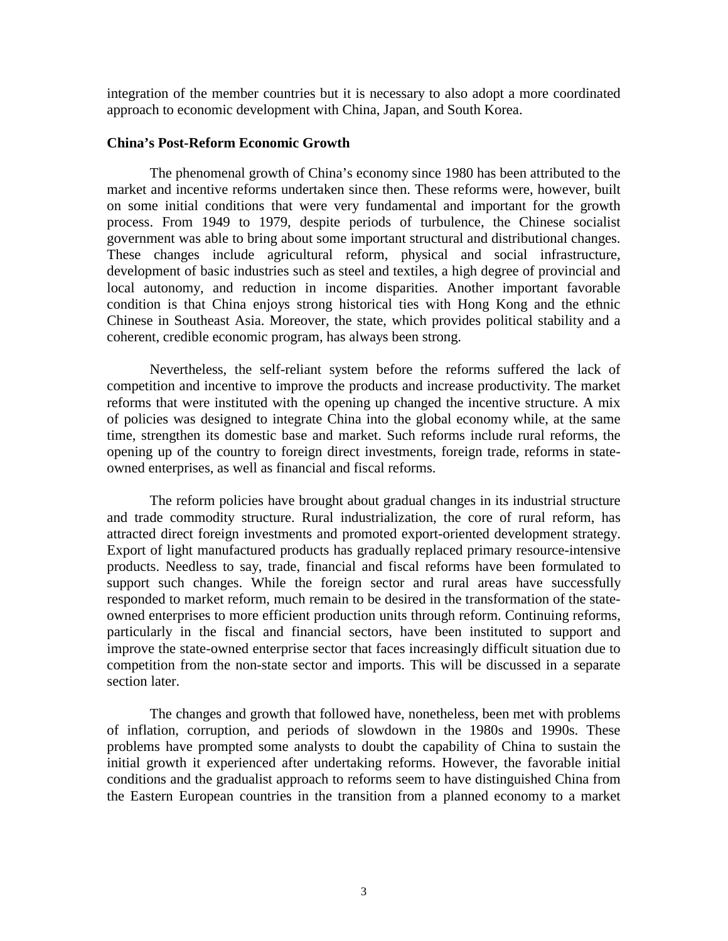integration of the member countries but it is necessary to also adopt a more coordinated approach to economic development with China, Japan, and South Korea.

#### **China's Post-Reform Economic Growth**

The phenomenal growth of China's economy since 1980 has been attributed to the market and incentive reforms undertaken since then. These reforms were, however, built on some initial conditions that were very fundamental and important for the growth process. From 1949 to 1979, despite periods of turbulence, the Chinese socialist government was able to bring about some important structural and distributional changes. These changes include agricultural reform, physical and social infrastructure, development of basic industries such as steel and textiles, a high degree of provincial and local autonomy, and reduction in income disparities. Another important favorable condition is that China enjoys strong historical ties with Hong Kong and the ethnic Chinese in Southeast Asia. Moreover, the state, which provides political stability and a coherent, credible economic program, has always been strong.

Nevertheless, the self-reliant system before the reforms suffered the lack of competition and incentive to improve the products and increase productivity. The market reforms that were instituted with the opening up changed the incentive structure. A mix of policies was designed to integrate China into the global economy while, at the same time, strengthen its domestic base and market. Such reforms include rural reforms, the opening up of the country to foreign direct investments, foreign trade, reforms in stateowned enterprises, as well as financial and fiscal reforms.

The reform policies have brought about gradual changes in its industrial structure and trade commodity structure. Rural industrialization, the core of rural reform, has attracted direct foreign investments and promoted export-oriented development strategy. Export of light manufactured products has gradually replaced primary resource-intensive products. Needless to say, trade, financial and fiscal reforms have been formulated to support such changes. While the foreign sector and rural areas have successfully responded to market reform, much remain to be desired in the transformation of the stateowned enterprises to more efficient production units through reform. Continuing reforms, particularly in the fiscal and financial sectors, have been instituted to support and improve the state-owned enterprise sector that faces increasingly difficult situation due to competition from the non-state sector and imports. This will be discussed in a separate section later.

The changes and growth that followed have, nonetheless, been met with problems of inflation, corruption, and periods of slowdown in the 1980s and 1990s. These problems have prompted some analysts to doubt the capability of China to sustain the initial growth it experienced after undertaking reforms. However, the favorable initial conditions and the gradualist approach to reforms seem to have distinguished China from the Eastern European countries in the transition from a planned economy to a market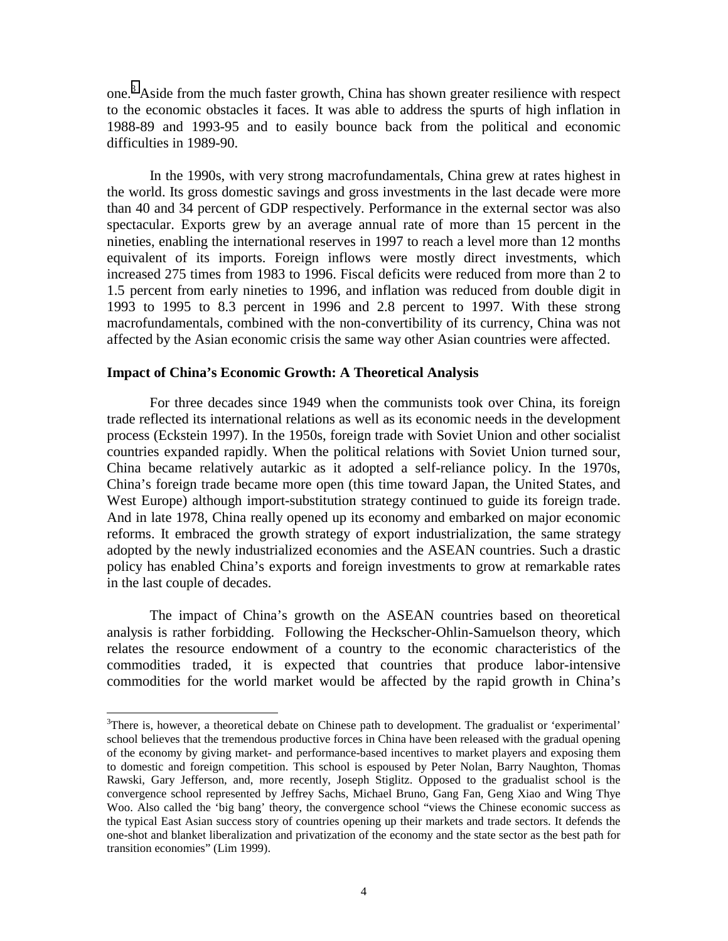one.<sup>3</sup> Aside from the much faster growth, China has shown greater resilience with respect to the economic obstacles it faces. It was able to address the spurts of high inflation in 1988-89 and 1993-95 and to easily bounce back from the political and economic difficulties in 1989-90.

In the 1990s, with very strong macrofundamentals, China grew at rates highest in the world. Its gross domestic savings and gross investments in the last decade were more than 40 and 34 percent of GDP respectively. Performance in the external sector was also spectacular. Exports grew by an average annual rate of more than 15 percent in the nineties, enabling the international reserves in 1997 to reach a level more than 12 months equivalent of its imports. Foreign inflows were mostly direct investments, which increased 275 times from 1983 to 1996. Fiscal deficits were reduced from more than 2 to 1.5 percent from early nineties to 1996, and inflation was reduced from double digit in 1993 to 1995 to 8.3 percent in 1996 and 2.8 percent to 1997. With these strong macrofundamentals, combined with the non-convertibility of its currency, China was not affected by the Asian economic crisis the same way other Asian countries were affected.

#### **Impact of China's Economic Growth: A Theoretical Analysis**

l

For three decades since 1949 when the communists took over China, its foreign trade reflected its international relations as well as its economic needs in the development process (Eckstein 1997). In the 1950s, foreign trade with Soviet Union and other socialist countries expanded rapidly. When the political relations with Soviet Union turned sour, China became relatively autarkic as it adopted a self-reliance policy. In the 1970s, China's foreign trade became more open (this time toward Japan, the United States, and West Europe) although import-substitution strategy continued to guide its foreign trade. And in late 1978, China really opened up its economy and embarked on major economic reforms. It embraced the growth strategy of export industrialization, the same strategy adopted by the newly industrialized economies and the ASEAN countries. Such a drastic policy has enabled China's exports and foreign investments to grow at remarkable rates in the last couple of decades.

The impact of China's growth on the ASEAN countries based on theoretical analysis is rather forbidding. Following the Heckscher-Ohlin-Samuelson theory, which relates the resource endowment of a country to the economic characteristics of the commodities traded, it is expected that countries that produce labor-intensive commodities for the world market would be affected by the rapid growth in China's

 $3$ There is, however, a theoretical debate on Chinese path to development. The gradualist or 'experimental' school believes that the tremendous productive forces in China have been released with the gradual opening of the economy by giving market- and performance-based incentives to market players and exposing them to domestic and foreign competition. This school is espoused by Peter Nolan, Barry Naughton, Thomas Rawski, Gary Jefferson, and, more recently, Joseph Stiglitz. Opposed to the gradualist school is the convergence school represented by Jeffrey Sachs, Michael Bruno, Gang Fan, Geng Xiao and Wing Thye Woo. Also called the 'big bang' theory, the convergence school "views the Chinese economic success as the typical East Asian success story of countries opening up their markets and trade sectors. It defends the one-shot and blanket liberalization and privatization of the economy and the state sector as the best path for transition economies" (Lim 1999).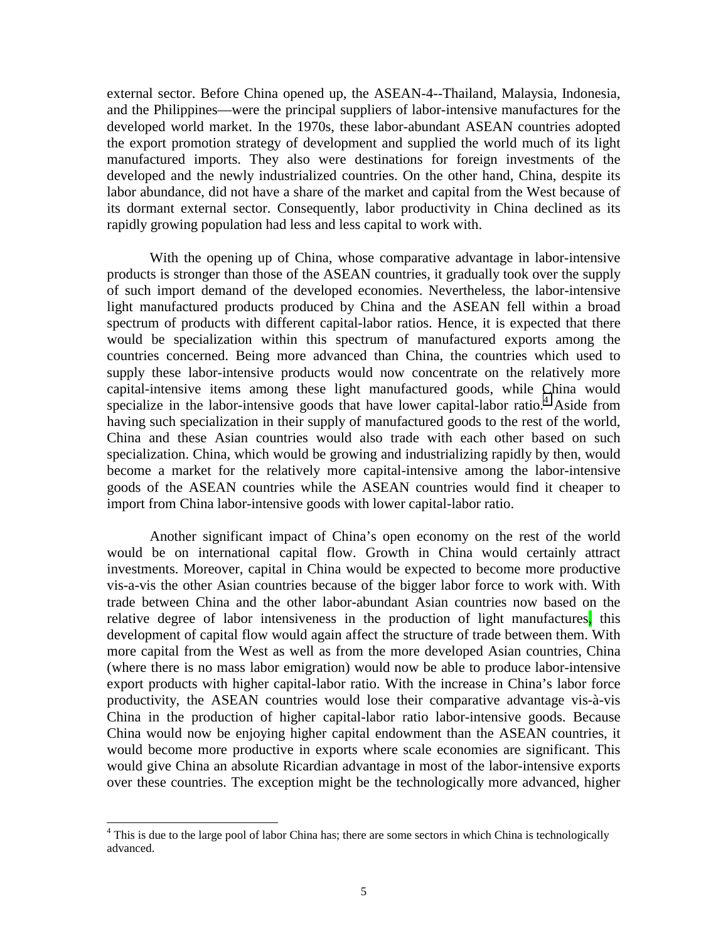external sector. Before China opened up, the ASEAN-4--Thailand, Malaysia, Indonesia, and the Philippines—were the principal suppliers of labor-intensive manufactures for the developed world market. In the 1970s, these labor-abundant ASEAN countries adopted the export promotion strategy of development and supplied the world much of its light manufactured imports. They also were destinations for foreign investments of the developed and the newly industrialized countries. On the other hand, China, despite its labor abundance, did not have a share of the market and capital from the West because of its dormant external sector. Consequently, labor productivity in China declined as its rapidly growing population had less and less capital to work with.

With the opening up of China, whose comparative advantage in labor-intensive products is stronger than those of the ASEAN countries, it gradually took over the supply of such import demand of the developed economies. Nevertheless, the labor-intensive light manufactured products produced by China and the ASEAN fell within a broad spectrum of products with different capital-labor ratios. Hence, it is expected that there would be specialization within this spectrum of manufactured exports among the countries concerned. Being more advanced than China, the countries which used to supply these labor-intensive products would now concentrate on the relatively more capital-intensive items among these light manufactured goods, while China would specialize in the labor-intensive goods that have lower capital-labor ratio.<sup>4</sup> Aside from having such specialization in their supply of manufactured goods to the rest of the world, China and these Asian countries would also trade with each other based on such specialization. China, which would be growing and industrializing rapidly by then, would become a market for the relatively more capital-intensive among the labor-intensive goods of the ASEAN countries while the ASEAN countries would find it cheaper to import from China labor-intensive goods with lower capital-labor ratio.

Another significant impact of China's open economy on the rest of the world would be on international capital flow. Growth in China would certainly attract investments. Moreover, capital in China would be expected to become more productive vis-a-vis the other Asian countries because of the bigger labor force to work with. With trade between China and the other labor-abundant Asian countries now based on the relative degree of labor intensiveness in the production of light manufactures, this development of capital flow would again affect the structure of trade between them. With more capital from the West as well as from the more developed Asian countries, China (where there is no mass labor emigration) would now be able to produce labor-intensive export products with higher capital-labor ratio. With the increase in China's labor force productivity, the ASEAN countries would lose their comparative advantage vis-à-vis China in the production of higher capital-labor ratio labor-intensive goods. Because China would now be enjoying higher capital endowment than the ASEAN countries, it would become more productive in exports where scale economies are significant. This would give China an absolute Ricardian advantage in most of the labor-intensive exports over these countries. The exception might be the technologically more advanced, higher

<sup>&</sup>lt;sup>4</sup> This is due to the large pool of labor China has; there are some sectors in which China is technologically advanced.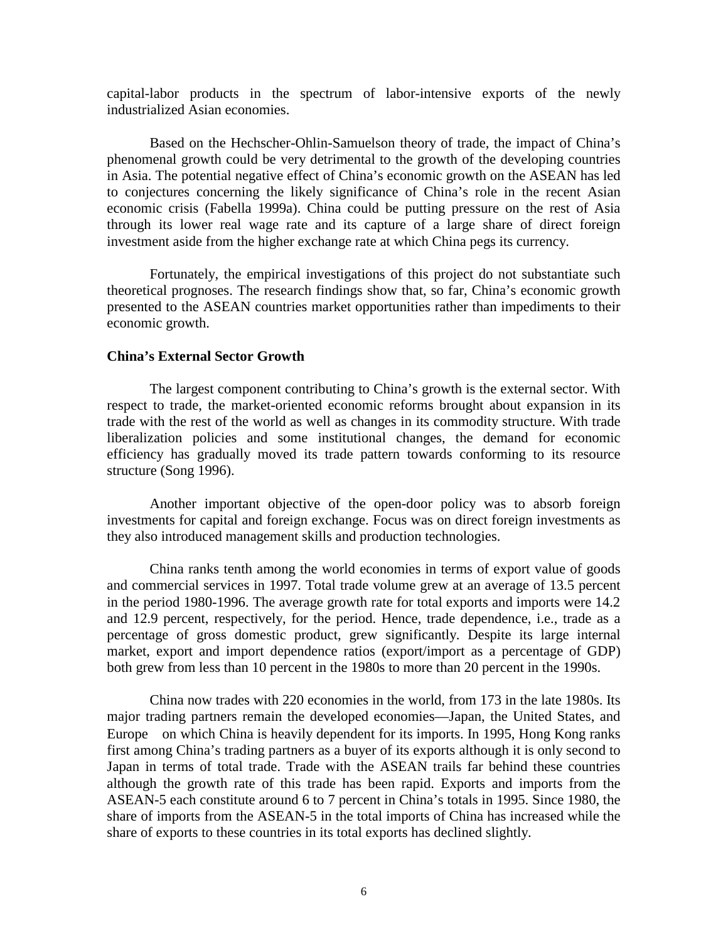capital-labor products in the spectrum of labor-intensive exports of the newly industrialized Asian economies.

Based on the Hechscher-Ohlin-Samuelson theory of trade, the impact of China's phenomenal growth could be very detrimental to the growth of the developing countries in Asia. The potential negative effect of China's economic growth on the ASEAN has led to conjectures concerning the likely significance of China's role in the recent Asian economic crisis (Fabella 1999a). China could be putting pressure on the rest of Asia through its lower real wage rate and its capture of a large share of direct foreign investment aside from the higher exchange rate at which China pegs its currency.

 Fortunately, the empirical investigations of this project do not substantiate such theoretical prognoses. The research findings show that, so far, China's economic growth presented to the ASEAN countries market opportunities rather than impediments to their economic growth.

#### **China's External Sector Growth**

 The largest component contributing to China's growth is the external sector. With respect to trade, the market-oriented economic reforms brought about expansion in its trade with the rest of the world as well as changes in its commodity structure. With trade liberalization policies and some institutional changes, the demand for economic efficiency has gradually moved its trade pattern towards conforming to its resource structure (Song 1996).

 Another important objective of the open-door policy was to absorb foreign investments for capital and foreign exchange. Focus was on direct foreign investments as they also introduced management skills and production technologies.

 China ranks tenth among the world economies in terms of export value of goods and commercial services in 1997. Total trade volume grew at an average of 13.5 percent in the period 1980-1996. The average growth rate for total exports and imports were 14.2 and 12.9 percent, respectively, for the period. Hence, trade dependence, i.e., trade as a percentage of gross domestic product, grew significantly. Despite its large internal market, export and import dependence ratios (export/import as a percentage of GDP) both grew from less than 10 percent in the 1980s to more than 20 percent in the 1990s.

 China now trades with 220 economies in the world, from 173 in the late 1980s. Its major trading partners remain the developed economies—Japan, the United States, and Europe—on which China is heavily dependent for its imports. In 1995, Hong Kong ranks first among China's trading partners as a buyer of its exports although it is only second to Japan in terms of total trade. Trade with the ASEAN trails far behind these countries although the growth rate of this trade has been rapid. Exports and imports from the ASEAN-5 each constitute around 6 to 7 percent in China's totals in 1995. Since 1980, the share of imports from the ASEAN-5 in the total imports of China has increased while the share of exports to these countries in its total exports has declined slightly.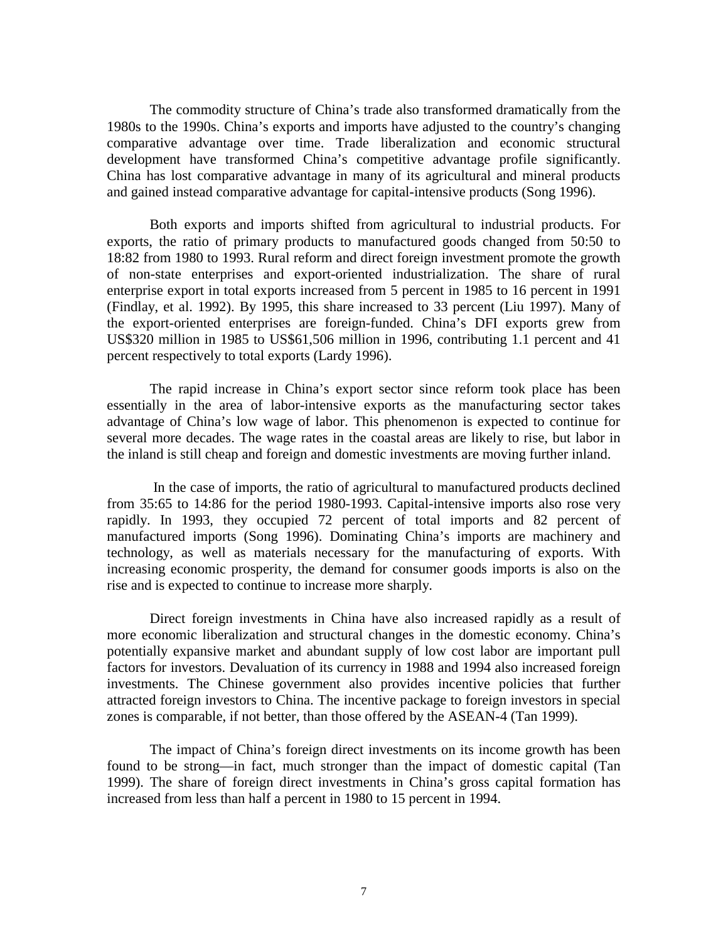The commodity structure of China's trade also transformed dramatically from the 1980s to the 1990s. China's exports and imports have adjusted to the country's changing comparative advantage over time. Trade liberalization and economic structural development have transformed China's competitive advantage profile significantly. China has lost comparative advantage in many of its agricultural and mineral products and gained instead comparative advantage for capital-intensive products (Song 1996).

Both exports and imports shifted from agricultural to industrial products. For exports, the ratio of primary products to manufactured goods changed from 50:50 to 18:82 from 1980 to 1993. Rural reform and direct foreign investment promote the growth of non-state enterprises and export-oriented industrialization. The share of rural enterprise export in total exports increased from 5 percent in 1985 to 16 percent in 1991 (Findlay, et al. 1992). By 1995, this share increased to 33 percent (Liu 1997). Many of the export-oriented enterprises are foreign-funded. China's DFI exports grew from US\$320 million in 1985 to US\$61,506 million in 1996, contributing 1.1 percent and 41 percent respectively to total exports (Lardy 1996).

The rapid increase in China's export sector since reform took place has been essentially in the area of labor-intensive exports as the manufacturing sector takes advantage of China's low wage of labor. This phenomenon is expected to continue for several more decades. The wage rates in the coastal areas are likely to rise, but labor in the inland is still cheap and foreign and domestic investments are moving further inland.

 In the case of imports, the ratio of agricultural to manufactured products declined from 35:65 to 14:86 for the period 1980-1993. Capital-intensive imports also rose very rapidly. In 1993, they occupied 72 percent of total imports and 82 percent of manufactured imports (Song 1996). Dominating China's imports are machinery and technology, as well as materials necessary for the manufacturing of exports. With increasing economic prosperity, the demand for consumer goods imports is also on the rise and is expected to continue to increase more sharply.

Direct foreign investments in China have also increased rapidly as a result of more economic liberalization and structural changes in the domestic economy. China's potentially expansive market and abundant supply of low cost labor are important pull factors for investors. Devaluation of its currency in 1988 and 1994 also increased foreign investments. The Chinese government also provides incentive policies that further attracted foreign investors to China. The incentive package to foreign investors in special zones is comparable, if not better, than those offered by the ASEAN-4 (Tan 1999).

The impact of China's foreign direct investments on its income growth has been found to be strong—in fact, much stronger than the impact of domestic capital (Tan 1999). The share of foreign direct investments in China's gross capital formation has increased from less than half a percent in 1980 to 15 percent in 1994.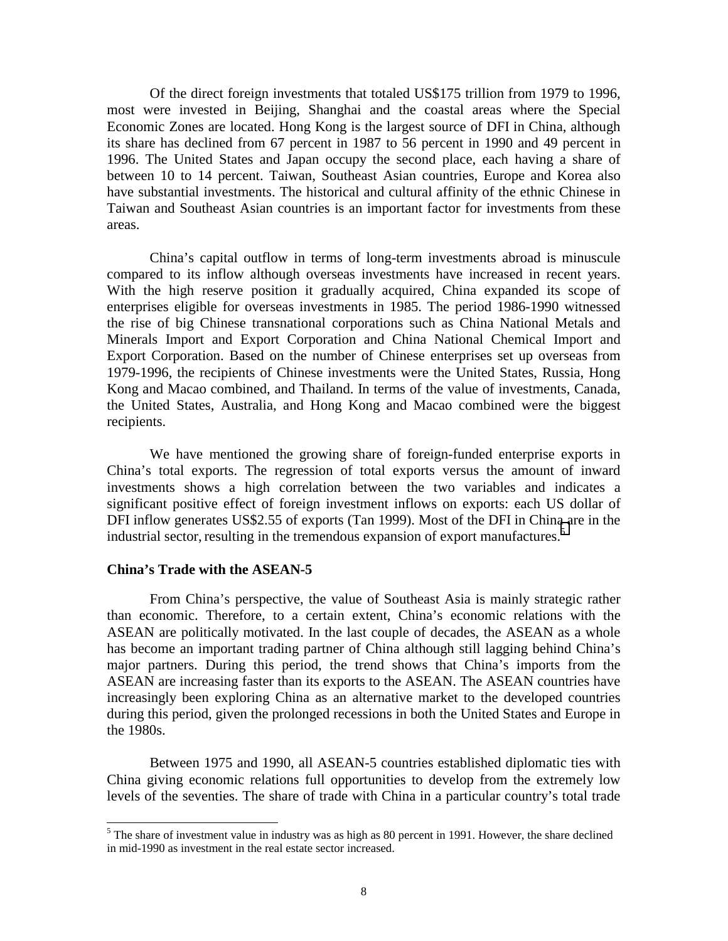Of the direct foreign investments that totaled US\$175 trillion from 1979 to 1996, most were invested in Beijing, Shanghai and the coastal areas where the Special Economic Zones are located. Hong Kong is the largest source of DFI in China, although its share has declined from 67 percent in 1987 to 56 percent in 1990 and 49 percent in 1996. The United States and Japan occupy the second place, each having a share of between 10 to 14 percent. Taiwan, Southeast Asian countries, Europe and Korea also have substantial investments. The historical and cultural affinity of the ethnic Chinese in Taiwan and Southeast Asian countries is an important factor for investments from these areas.

China's capital outflow in terms of long-term investments abroad is minuscule compared to its inflow although overseas investments have increased in recent years. With the high reserve position it gradually acquired, China expanded its scope of enterprises eligible for overseas investments in 1985. The period 1986-1990 witnessed the rise of big Chinese transnational corporations such as China National Metals and Minerals Import and Export Corporation and China National Chemical Import and Export Corporation. Based on the number of Chinese enterprises set up overseas from 1979-1996, the recipients of Chinese investments were the United States, Russia, Hong Kong and Macao combined, and Thailand. In terms of the value of investments, Canada, the United States, Australia, and Hong Kong and Macao combined were the biggest recipients.

We have mentioned the growing share of foreign-funded enterprise exports in China's total exports. The regression of total exports versus the amount of inward investments shows a high correlation between the two variables and indicates a significant positive effect of foreign investment inflows on exports: each US dollar of DFI inflow generates US\$2.55 of exports (Tan 1999). Most of the DFI in China are in the industrial sector, resulting in the tremendous expansion of export manufactures.<sup>5</sup>

# **China's Trade with the ASEAN-5**

From China's perspective, the value of Southeast Asia is mainly strategic rather than economic. Therefore, to a certain extent, China's economic relations with the ASEAN are politically motivated. In the last couple of decades, the ASEAN as a whole has become an important trading partner of China although still lagging behind China's major partners. During this period, the trend shows that China's imports from the ASEAN are increasing faster than its exports to the ASEAN. The ASEAN countries have increasingly been exploring China as an alternative market to the developed countries during this period, given the prolonged recessions in both the United States and Europe in the 1980s.

Between 1975 and 1990, all ASEAN-5 countries established diplomatic ties with China giving economic relations full opportunities to develop from the extremely low levels of the seventies. The share of trade with China in a particular country's total trade

<sup>&</sup>lt;sup>5</sup> The share of investment value in industry was as high as 80 percent in 1991. However, the share declined in mid-1990 as investment in the real estate sector increased.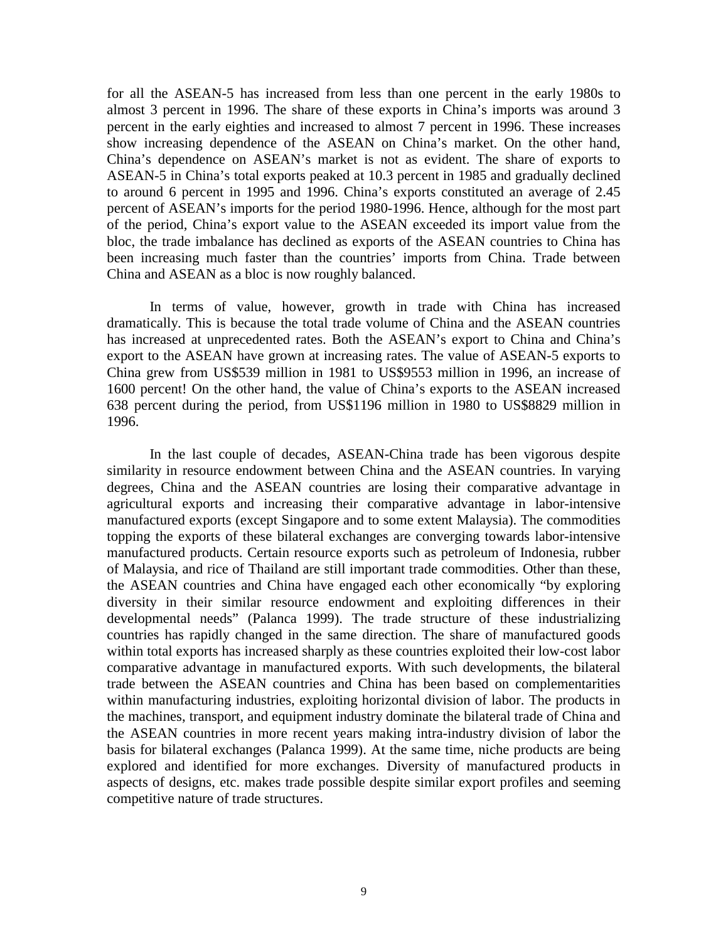for all the ASEAN-5 has increased from less than one percent in the early 1980s to almost 3 percent in 1996. The share of these exports in China's imports was around 3 percent in the early eighties and increased to almost 7 percent in 1996. These increases show increasing dependence of the ASEAN on China's market. On the other hand, China's dependence on ASEAN's market is not as evident. The share of exports to ASEAN-5 in China's total exports peaked at 10.3 percent in 1985 and gradually declined to around 6 percent in 1995 and 1996. China's exports constituted an average of 2.45 percent of ASEAN's imports for the period 1980-1996. Hence, although for the most part of the period, China's export value to the ASEAN exceeded its import value from the bloc, the trade imbalance has declined as exports of the ASEAN countries to China has been increasing much faster than the countries' imports from China. Trade between China and ASEAN as a bloc is now roughly balanced.

In terms of value, however, growth in trade with China has increased dramatically. This is because the total trade volume of China and the ASEAN countries has increased at unprecedented rates. Both the ASEAN's export to China and China's export to the ASEAN have grown at increasing rates. The value of ASEAN-5 exports to China grew from US\$539 million in 1981 to US\$9553 million in 1996, an increase of 1600 percent! On the other hand, the value of China's exports to the ASEAN increased 638 percent during the period, from US\$1196 million in 1980 to US\$8829 million in 1996.

In the last couple of decades, ASEAN-China trade has been vigorous despite similarity in resource endowment between China and the ASEAN countries. In varying degrees, China and the ASEAN countries are losing their comparative advantage in agricultural exports and increasing their comparative advantage in labor-intensive manufactured exports (except Singapore and to some extent Malaysia). The commodities topping the exports of these bilateral exchanges are converging towards labor-intensive manufactured products. Certain resource exports such as petroleum of Indonesia, rubber of Malaysia, and rice of Thailand are still important trade commodities. Other than these, the ASEAN countries and China have engaged each other economically "by exploring diversity in their similar resource endowment and exploiting differences in their developmental needs" (Palanca 1999). The trade structure of these industrializing countries has rapidly changed in the same direction. The share of manufactured goods within total exports has increased sharply as these countries exploited their low-cost labor comparative advantage in manufactured exports. With such developments, the bilateral trade between the ASEAN countries and China has been based on complementarities within manufacturing industries, exploiting horizontal division of labor. The products in the machines, transport, and equipment industry dominate the bilateral trade of China and the ASEAN countries in more recent years making intra-industry division of labor the basis for bilateral exchanges (Palanca 1999). At the same time, niche products are being explored and identified for more exchanges. Diversity of manufactured products in aspects of designs, etc. makes trade possible despite similar export profiles and seeming competitive nature of trade structures.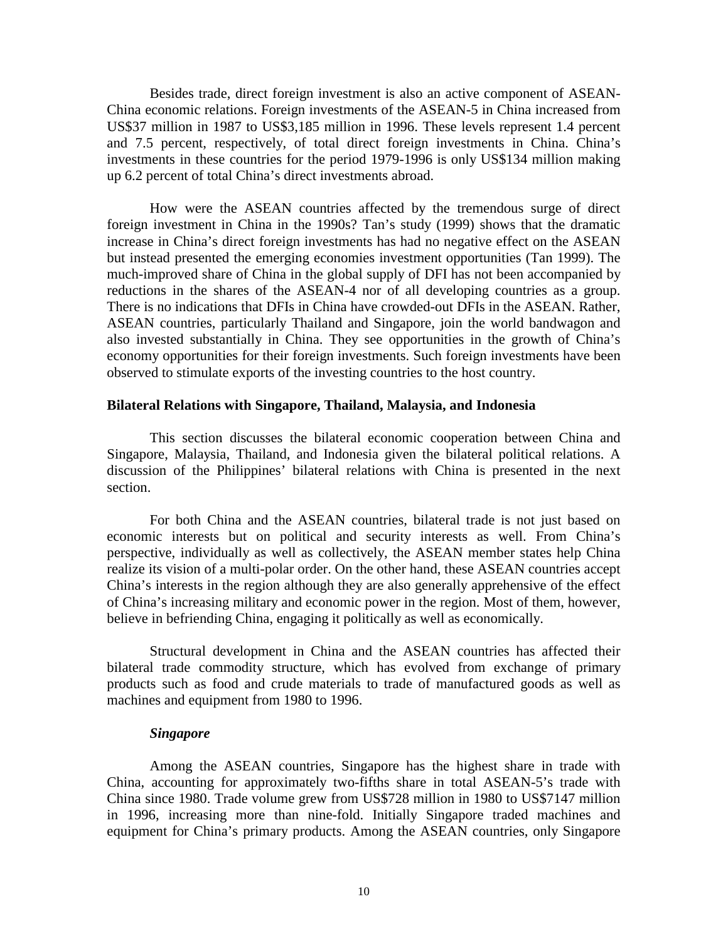Besides trade, direct foreign investment is also an active component of ASEAN-China economic relations. Foreign investments of the ASEAN-5 in China increased from US\$37 million in 1987 to US\$3,185 million in 1996. These levels represent 1.4 percent and 7.5 percent, respectively, of total direct foreign investments in China. China's investments in these countries for the period 1979-1996 is only US\$134 million making up 6.2 percent of total China's direct investments abroad.

How were the ASEAN countries affected by the tremendous surge of direct foreign investment in China in the 1990s? Tan's study (1999) shows that the dramatic increase in China's direct foreign investments has had no negative effect on the ASEAN but instead presented the emerging economies investment opportunities (Tan 1999). The much-improved share of China in the global supply of DFI has not been accompanied by reductions in the shares of the ASEAN-4 nor of all developing countries as a group. There is no indications that DFIs in China have crowded-out DFIs in the ASEAN. Rather, ASEAN countries, particularly Thailand and Singapore, join the world bandwagon and also invested substantially in China. They see opportunities in the growth of China's economy opportunities for their foreign investments. Such foreign investments have been observed to stimulate exports of the investing countries to the host country.

#### **Bilateral Relations with Singapore, Thailand, Malaysia, and Indonesia**

 This section discusses the bilateral economic cooperation between China and Singapore, Malaysia, Thailand, and Indonesia given the bilateral political relations. A discussion of the Philippines' bilateral relations with China is presented in the next section.

 For both China and the ASEAN countries, bilateral trade is not just based on economic interests but on political and security interests as well. From China's perspective, individually as well as collectively, the ASEAN member states help China realize its vision of a multi-polar order. On the other hand, these ASEAN countries accept China's interests in the region although they are also generally apprehensive of the effect of China's increasing military and economic power in the region. Most of them, however, believe in befriending China, engaging it politically as well as economically.

 Structural development in China and the ASEAN countries has affected their bilateral trade commodity structure, which has evolved from exchange of primary products such as food and crude materials to trade of manufactured goods as well as machines and equipment from 1980 to 1996.

#### *Singapore*

Among the ASEAN countries, Singapore has the highest share in trade with China, accounting for approximately two-fifths share in total ASEAN-5's trade with China since 1980. Trade volume grew from US\$728 million in 1980 to US\$7147 million in 1996, increasing more than nine-fold. Initially Singapore traded machines and equipment for China's primary products. Among the ASEAN countries, only Singapore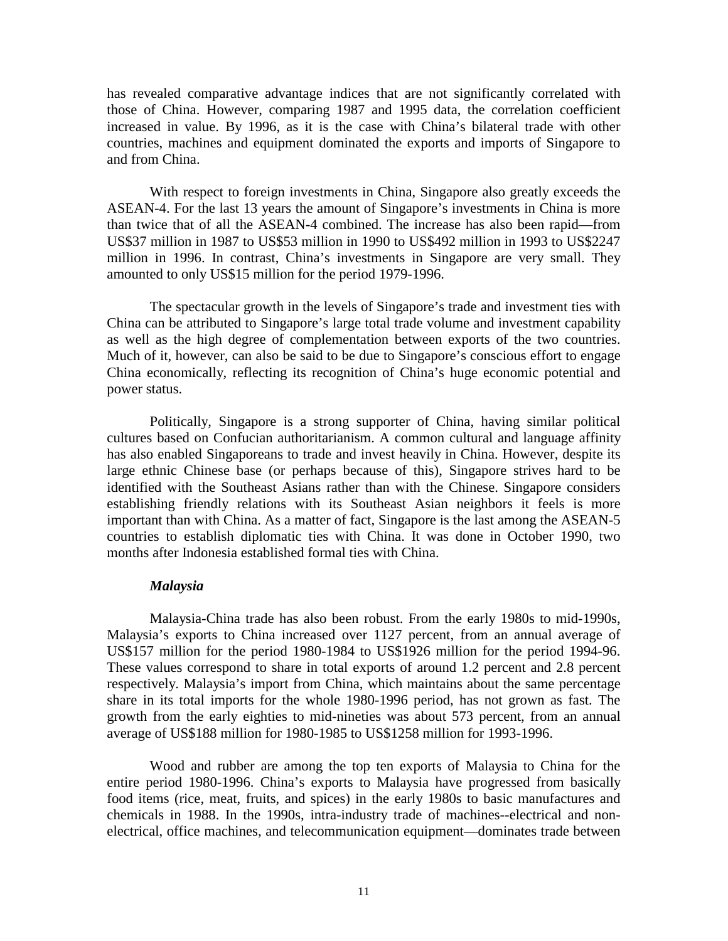has revealed comparative advantage indices that are not significantly correlated with those of China. However, comparing 1987 and 1995 data, the correlation coefficient increased in value. By 1996, as it is the case with China's bilateral trade with other countries, machines and equipment dominated the exports and imports of Singapore to and from China.

With respect to foreign investments in China, Singapore also greatly exceeds the ASEAN-4. For the last 13 years the amount of Singapore's investments in China is more than twice that of all the ASEAN-4 combined. The increase has also been rapid—from US\$37 million in 1987 to US\$53 million in 1990 to US\$492 million in 1993 to US\$2247 million in 1996. In contrast, China's investments in Singapore are very small. They amounted to only US\$15 million for the period 1979-1996.

The spectacular growth in the levels of Singapore's trade and investment ties with China can be attributed to Singapore's large total trade volume and investment capability as well as the high degree of complementation between exports of the two countries. Much of it, however, can also be said to be due to Singapore's conscious effort to engage China economically, reflecting its recognition of China's huge economic potential and power status.

Politically, Singapore is a strong supporter of China, having similar political cultures based on Confucian authoritarianism. A common cultural and language affinity has also enabled Singaporeans to trade and invest heavily in China. However, despite its large ethnic Chinese base (or perhaps because of this), Singapore strives hard to be identified with the Southeast Asians rather than with the Chinese. Singapore considers establishing friendly relations with its Southeast Asian neighbors it feels is more important than with China. As a matter of fact, Singapore is the last among the ASEAN-5 countries to establish diplomatic ties with China. It was done in October 1990, two months after Indonesia established formal ties with China.

### *Malaysia*

Malaysia-China trade has also been robust. From the early 1980s to mid-1990s, Malaysia's exports to China increased over 1127 percent, from an annual average of US\$157 million for the period 1980-1984 to US\$1926 million for the period 1994-96. These values correspond to share in total exports of around 1.2 percent and 2.8 percent respectively. Malaysia's import from China, which maintains about the same percentage share in its total imports for the whole 1980-1996 period, has not grown as fast. The growth from the early eighties to mid-nineties was about 573 percent, from an annual average of US\$188 million for 1980-1985 to US\$1258 million for 1993-1996.

Wood and rubber are among the top ten exports of Malaysia to China for the entire period 1980-1996. China's exports to Malaysia have progressed from basically food items (rice, meat, fruits, and spices) in the early 1980s to basic manufactures and chemicals in 1988. In the 1990s, intra-industry trade of machines--electrical and nonelectrical, office machines, and telecommunication equipment—dominates trade between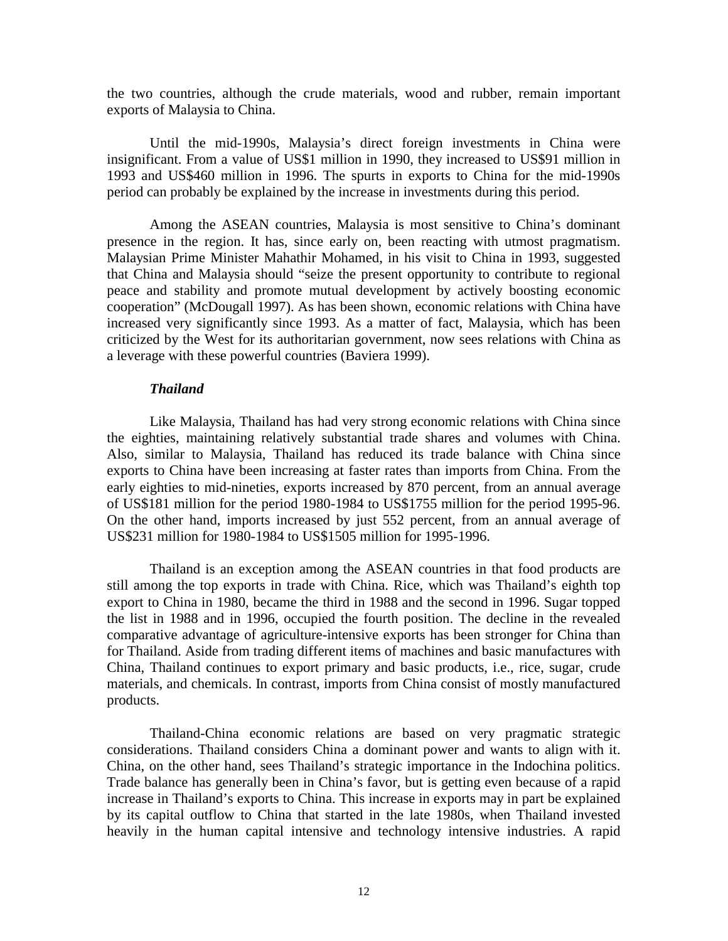the two countries, although the crude materials, wood and rubber, remain important exports of Malaysia to China.

Until the mid-1990s, Malaysia's direct foreign investments in China were insignificant. From a value of US\$1 million in 1990, they increased to US\$91 million in 1993 and US\$460 million in 1996. The spurts in exports to China for the mid-1990s period can probably be explained by the increase in investments during this period.

Among the ASEAN countries, Malaysia is most sensitive to China's dominant presence in the region. It has, since early on, been reacting with utmost pragmatism. Malaysian Prime Minister Mahathir Mohamed, in his visit to China in 1993, suggested that China and Malaysia should "seize the present opportunity to contribute to regional peace and stability and promote mutual development by actively boosting economic cooperation" (McDougall 1997). As has been shown, economic relations with China have increased very significantly since 1993. As a matter of fact, Malaysia, which has been criticized by the West for its authoritarian government, now sees relations with China as a leverage with these powerful countries (Baviera 1999).

# *Thailand*

Like Malaysia, Thailand has had very strong economic relations with China since the eighties, maintaining relatively substantial trade shares and volumes with China. Also, similar to Malaysia, Thailand has reduced its trade balance with China since exports to China have been increasing at faster rates than imports from China. From the early eighties to mid-nineties, exports increased by 870 percent, from an annual average of US\$181 million for the period 1980-1984 to US\$1755 million for the period 1995-96. On the other hand, imports increased by just 552 percent, from an annual average of US\$231 million for 1980-1984 to US\$1505 million for 1995-1996.

 Thailand is an exception among the ASEAN countries in that food products are still among the top exports in trade with China. Rice, which was Thailand's eighth top export to China in 1980, became the third in 1988 and the second in 1996. Sugar topped the list in 1988 and in 1996, occupied the fourth position. The decline in the revealed comparative advantage of agriculture-intensive exports has been stronger for China than for Thailand. Aside from trading different items of machines and basic manufactures with China, Thailand continues to export primary and basic products, i.e., rice, sugar, crude materials, and chemicals. In contrast, imports from China consist of mostly manufactured products.

Thailand-China economic relations are based on very pragmatic strategic considerations. Thailand considers China a dominant power and wants to align with it. China, on the other hand, sees Thailand's strategic importance in the Indochina politics. Trade balance has generally been in China's favor, but is getting even because of a rapid increase in Thailand's exports to China. This increase in exports may in part be explained by its capital outflow to China that started in the late 1980s, when Thailand invested heavily in the human capital intensive and technology intensive industries. A rapid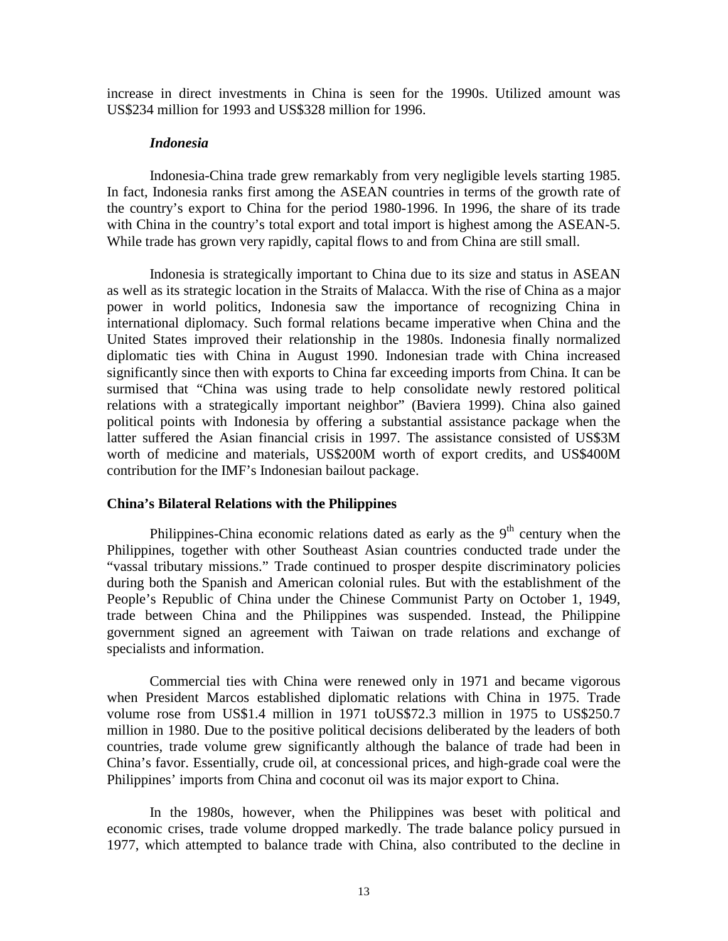increase in direct investments in China is seen for the 1990s. Utilized amount was US\$234 million for 1993 and US\$328 million for 1996.

#### *Indonesia*

 Indonesia-China trade grew remarkably from very negligible levels starting 1985. In fact, Indonesia ranks first among the ASEAN countries in terms of the growth rate of the country's export to China for the period 1980-1996. In 1996, the share of its trade with China in the country's total export and total import is highest among the ASEAN-5. While trade has grown very rapidly, capital flows to and from China are still small.

 Indonesia is strategically important to China due to its size and status in ASEAN as well as its strategic location in the Straits of Malacca. With the rise of China as a major power in world politics, Indonesia saw the importance of recognizing China in international diplomacy. Such formal relations became imperative when China and the United States improved their relationship in the 1980s. Indonesia finally normalized diplomatic ties with China in August 1990. Indonesian trade with China increased significantly since then with exports to China far exceeding imports from China. It can be surmised that "China was using trade to help consolidate newly restored political relations with a strategically important neighbor" (Baviera 1999). China also gained political points with Indonesia by offering a substantial assistance package when the latter suffered the Asian financial crisis in 1997. The assistance consisted of US\$3M worth of medicine and materials, US\$200M worth of export credits, and US\$400M contribution for the IMF's Indonesian bailout package.

### **China's Bilateral Relations with the Philippines**

Philippines-China economic relations dated as early as the  $9<sup>th</sup>$  century when the Philippines, together with other Southeast Asian countries conducted trade under the "vassal tributary missions." Trade continued to prosper despite discriminatory policies during both the Spanish and American colonial rules. But with the establishment of the People's Republic of China under the Chinese Communist Party on October 1, 1949, trade between China and the Philippines was suspended. Instead, the Philippine government signed an agreement with Taiwan on trade relations and exchange of specialists and information.

Commercial ties with China were renewed only in 1971 and became vigorous when President Marcos established diplomatic relations with China in 1975. Trade volume rose from US\$1.4 million in 1971 toUS\$72.3 million in 1975 to US\$250.7 million in 1980. Due to the positive political decisions deliberated by the leaders of both countries, trade volume grew significantly although the balance of trade had been in China's favor. Essentially, crude oil, at concessional prices, and high-grade coal were the Philippines' imports from China and coconut oil was its major export to China.

In the 1980s, however, when the Philippines was beset with political and economic crises, trade volume dropped markedly. The trade balance policy pursued in 1977, which attempted to balance trade with China, also contributed to the decline in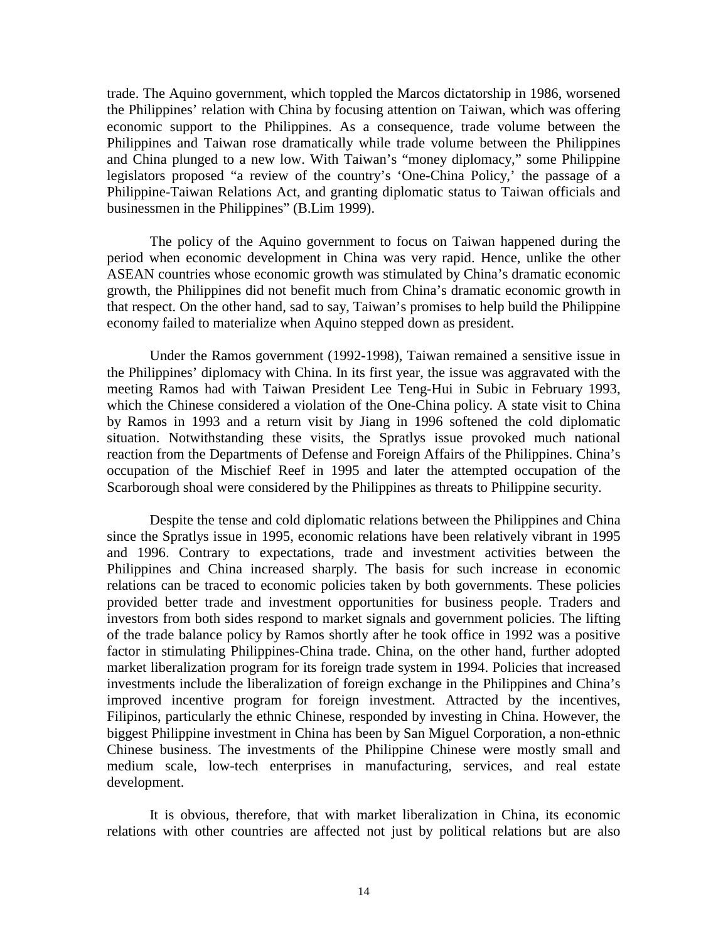trade. The Aquino government, which toppled the Marcos dictatorship in 1986, worsened the Philippines' relation with China by focusing attention on Taiwan, which was offering economic support to the Philippines. As a consequence, trade volume between the Philippines and Taiwan rose dramatically while trade volume between the Philippines and China plunged to a new low. With Taiwan's "money diplomacy," some Philippine legislators proposed "a review of the country's 'One-China Policy,' the passage of a Philippine-Taiwan Relations Act, and granting diplomatic status to Taiwan officials and businessmen in the Philippines" (B.Lim 1999).

The policy of the Aquino government to focus on Taiwan happened during the period when economic development in China was very rapid. Hence, unlike the other ASEAN countries whose economic growth was stimulated by China's dramatic economic growth, the Philippines did not benefit much from China's dramatic economic growth in that respect. On the other hand, sad to say, Taiwan's promises to help build the Philippine economy failed to materialize when Aquino stepped down as president.

Under the Ramos government (1992-1998), Taiwan remained a sensitive issue in the Philippines' diplomacy with China. In its first year, the issue was aggravated with the meeting Ramos had with Taiwan President Lee Teng-Hui in Subic in February 1993, which the Chinese considered a violation of the One-China policy. A state visit to China by Ramos in 1993 and a return visit by Jiang in 1996 softened the cold diplomatic situation. Notwithstanding these visits, the Spratlys issue provoked much national reaction from the Departments of Defense and Foreign Affairs of the Philippines. China's occupation of the Mischief Reef in 1995 and later the attempted occupation of the Scarborough shoal were considered by the Philippines as threats to Philippine security.

Despite the tense and cold diplomatic relations between the Philippines and China since the Spratlys issue in 1995, economic relations have been relatively vibrant in 1995 and 1996. Contrary to expectations, trade and investment activities between the Philippines and China increased sharply. The basis for such increase in economic relations can be traced to economic policies taken by both governments. These policies provided better trade and investment opportunities for business people. Traders and investors from both sides respond to market signals and government policies. The lifting of the trade balance policy by Ramos shortly after he took office in 1992 was a positive factor in stimulating Philippines-China trade. China, on the other hand, further adopted market liberalization program for its foreign trade system in 1994. Policies that increased investments include the liberalization of foreign exchange in the Philippines and China's improved incentive program for foreign investment. Attracted by the incentives, Filipinos, particularly the ethnic Chinese, responded by investing in China. However, the biggest Philippine investment in China has been by San Miguel Corporation, a non-ethnic Chinese business. The investments of the Philippine Chinese were mostly small and medium scale, low-tech enterprises in manufacturing, services, and real estate development.

It is obvious, therefore, that with market liberalization in China, its economic relations with other countries are affected not just by political relations but are also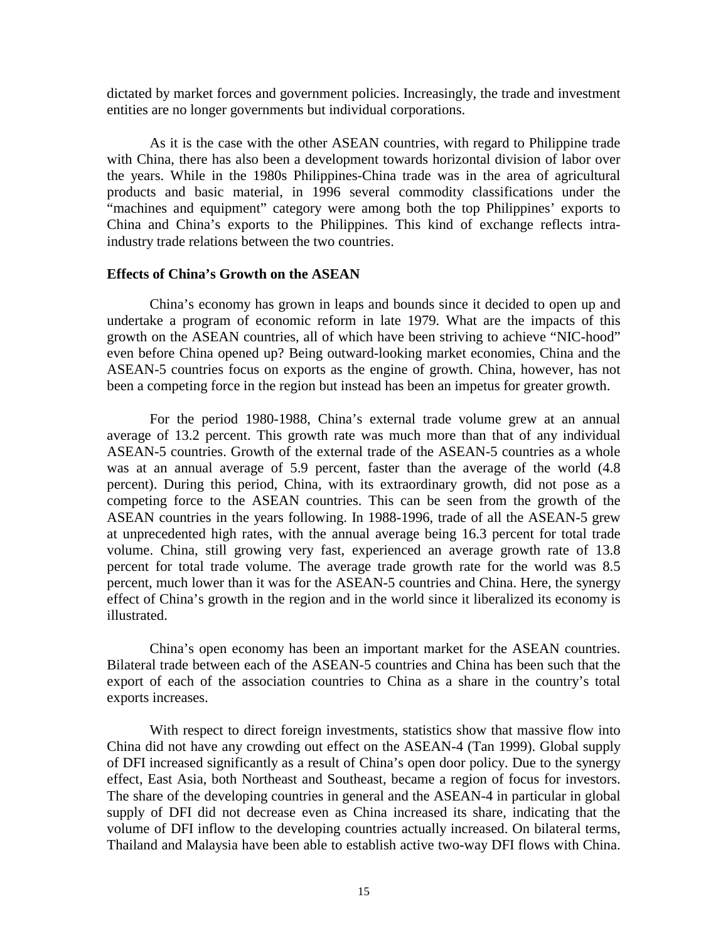dictated by market forces and government policies. Increasingly, the trade and investment entities are no longer governments but individual corporations.

As it is the case with the other ASEAN countries, with regard to Philippine trade with China, there has also been a development towards horizontal division of labor over the years. While in the 1980s Philippines-China trade was in the area of agricultural products and basic material, in 1996 several commodity classifications under the "machines and equipment" category were among both the top Philippines' exports to China and China's exports to the Philippines. This kind of exchange reflects intraindustry trade relations between the two countries.

# **Effects of China's Growth on the ASEAN**

 China's economy has grown in leaps and bounds since it decided to open up and undertake a program of economic reform in late 1979. What are the impacts of this growth on the ASEAN countries, all of which have been striving to achieve "NIC-hood" even before China opened up? Being outward-looking market economies, China and the ASEAN-5 countries focus on exports as the engine of growth. China, however, has not been a competing force in the region but instead has been an impetus for greater growth.

For the period 1980-1988, China's external trade volume grew at an annual average of 13.2 percent. This growth rate was much more than that of any individual ASEAN-5 countries. Growth of the external trade of the ASEAN-5 countries as a whole was at an annual average of 5.9 percent, faster than the average of the world (4.8 percent). During this period, China, with its extraordinary growth, did not pose as a competing force to the ASEAN countries. This can be seen from the growth of the ASEAN countries in the years following. In 1988-1996, trade of all the ASEAN-5 grew at unprecedented high rates, with the annual average being 16.3 percent for total trade volume. China, still growing very fast, experienced an average growth rate of 13.8 percent for total trade volume. The average trade growth rate for the world was 8.5 percent, much lower than it was for the ASEAN-5 countries and China. Here, the synergy effect of China's growth in the region and in the world since it liberalized its economy is illustrated.

China's open economy has been an important market for the ASEAN countries. Bilateral trade between each of the ASEAN-5 countries and China has been such that the export of each of the association countries to China as a share in the country's total exports increases.

 With respect to direct foreign investments, statistics show that massive flow into China did not have any crowding out effect on the ASEAN-4 (Tan 1999). Global supply of DFI increased significantly as a result of China's open door policy. Due to the synergy effect, East Asia, both Northeast and Southeast, became a region of focus for investors. The share of the developing countries in general and the ASEAN-4 in particular in global supply of DFI did not decrease even as China increased its share, indicating that the volume of DFI inflow to the developing countries actually increased. On bilateral terms, Thailand and Malaysia have been able to establish active two-way DFI flows with China.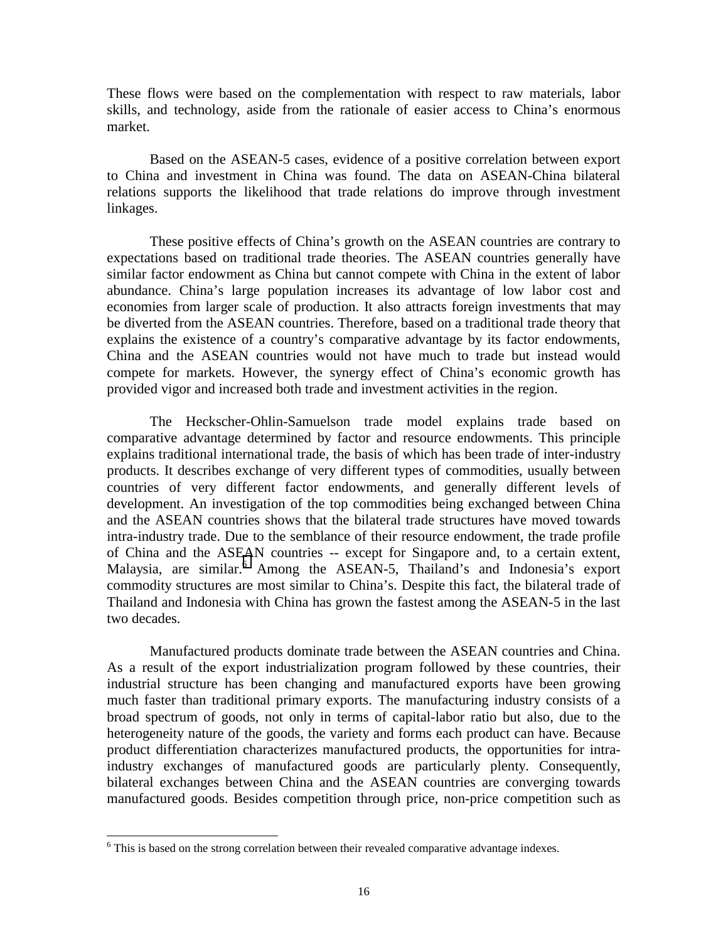These flows were based on the complementation with respect to raw materials, labor skills, and technology, aside from the rationale of easier access to China's enormous market.

Based on the ASEAN-5 cases, evidence of a positive correlation between export to China and investment in China was found. The data on ASEAN-China bilateral relations supports the likelihood that trade relations do improve through investment linkages.

 These positive effects of China's growth on the ASEAN countries are contrary to expectations based on traditional trade theories. The ASEAN countries generally have similar factor endowment as China but cannot compete with China in the extent of labor abundance. China's large population increases its advantage of low labor cost and economies from larger scale of production. It also attracts foreign investments that may be diverted from the ASEAN countries. Therefore, based on a traditional trade theory that explains the existence of a country's comparative advantage by its factor endowments, China and the ASEAN countries would not have much to trade but instead would compete for markets. However, the synergy effect of China's economic growth has provided vigor and increased both trade and investment activities in the region.

The Heckscher-Ohlin-Samuelson trade model explains trade based on comparative advantage determined by factor and resource endowments. This principle explains traditional international trade, the basis of which has been trade of inter-industry products. It describes exchange of very different types of commodities, usually between countries of very different factor endowments, and generally different levels of development. An investigation of the top commodities being exchanged between China and the ASEAN countries shows that the bilateral trade structures have moved towards intra-industry trade. Due to the semblance of their resource endowment, the trade profile of China and the ASEAN countries -- except for Singapore and, to a certain extent, Malaysia, are similar.<sup>6</sup> Among the ASEAN-5, Thailand's and Indonesia's export commodity structures are most similar to China's. Despite this fact, the bilateral trade of Thailand and Indonesia with China has grown the fastest among the ASEAN-5 in the last two decades.

Manufactured products dominate trade between the ASEAN countries and China. As a result of the export industrialization program followed by these countries, their industrial structure has been changing and manufactured exports have been growing much faster than traditional primary exports. The manufacturing industry consists of a broad spectrum of goods, not only in terms of capital-labor ratio but also, due to the heterogeneity nature of the goods, the variety and forms each product can have. Because product differentiation characterizes manufactured products, the opportunities for intraindustry exchanges of manufactured goods are particularly plenty. Consequently, bilateral exchanges between China and the ASEAN countries are converging towards manufactured goods. Besides competition through price, non-price competition such as

 $\overline{a}$ 

<sup>&</sup>lt;sup>6</sup> This is based on the strong correlation between their revealed comparative advantage indexes.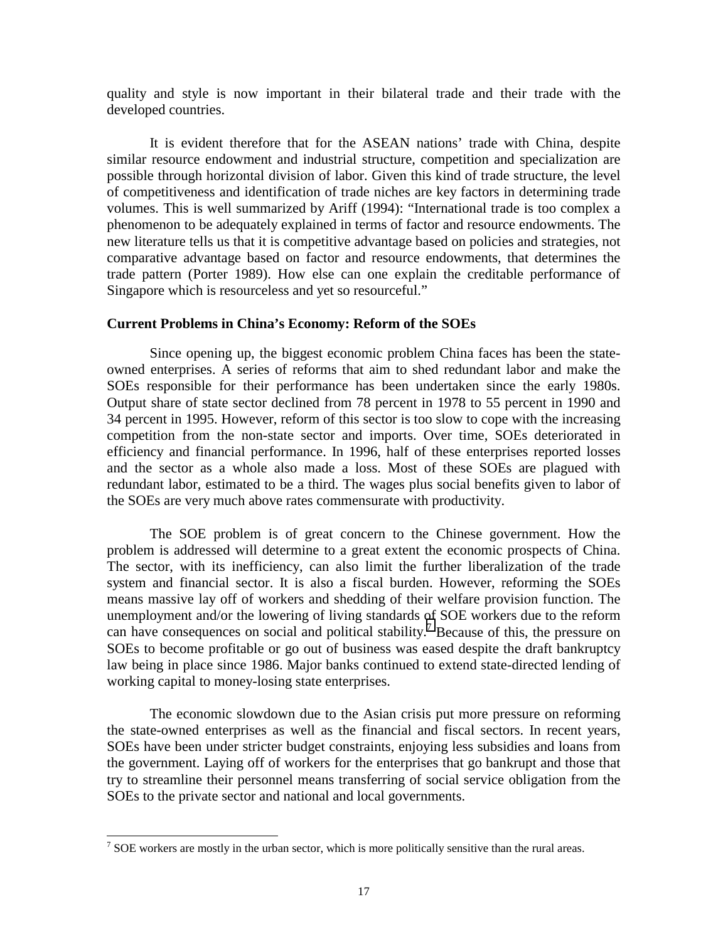quality and style is now important in their bilateral trade and their trade with the developed countries.

It is evident therefore that for the ASEAN nations' trade with China, despite similar resource endowment and industrial structure, competition and specialization are possible through horizontal division of labor. Given this kind of trade structure, the level of competitiveness and identification of trade niches are key factors in determining trade volumes. This is well summarized by Ariff (1994): "International trade is too complex a phenomenon to be adequately explained in terms of factor and resource endowments. The new literature tells us that it is competitive advantage based on policies and strategies, not comparative advantage based on factor and resource endowments, that determines the trade pattern (Porter 1989). How else can one explain the creditable performance of Singapore which is resourceless and yet so resourceful."

# **Current Problems in China's Economy: Reform of the SOEs**

Since opening up, the biggest economic problem China faces has been the stateowned enterprises. A series of reforms that aim to shed redundant labor and make the SOEs responsible for their performance has been undertaken since the early 1980s. Output share of state sector declined from 78 percent in 1978 to 55 percent in 1990 and 34 percent in 1995. However, reform of this sector is too slow to cope with the increasing competition from the non-state sector and imports. Over time, SOEs deteriorated in efficiency and financial performance. In 1996, half of these enterprises reported losses and the sector as a whole also made a loss. Most of these SOEs are plagued with redundant labor, estimated to be a third. The wages plus social benefits given to labor of the SOEs are very much above rates commensurate with productivity.

The SOE problem is of great concern to the Chinese government. How the problem is addressed will determine to a great extent the economic prospects of China. The sector, with its inefficiency, can also limit the further liberalization of the trade system and financial sector. It is also a fiscal burden. However, reforming the SOEs means massive lay off of workers and shedding of their welfare provision function. The unemployment and/or the lowering of living standards of SOE workers due to the reform can have consequences on social and political stability.<sup>7</sup> Because of this, the pressure on SOEs to become profitable or go out of business was eased despite the draft bankruptcy law being in place since 1986. Major banks continued to extend state-directed lending of working capital to money-losing state enterprises.

The economic slowdown due to the Asian crisis put more pressure on reforming the state-owned enterprises as well as the financial and fiscal sectors. In recent years, SOEs have been under stricter budget constraints, enjoying less subsidies and loans from the government. Laying off of workers for the enterprises that go bankrupt and those that try to streamline their personnel means transferring of social service obligation from the SOEs to the private sector and national and local governments.

 $\overline{a}$ 

 $<sup>7</sup>$  SOE workers are mostly in the urban sector, which is more politically sensitive than the rural areas.</sup>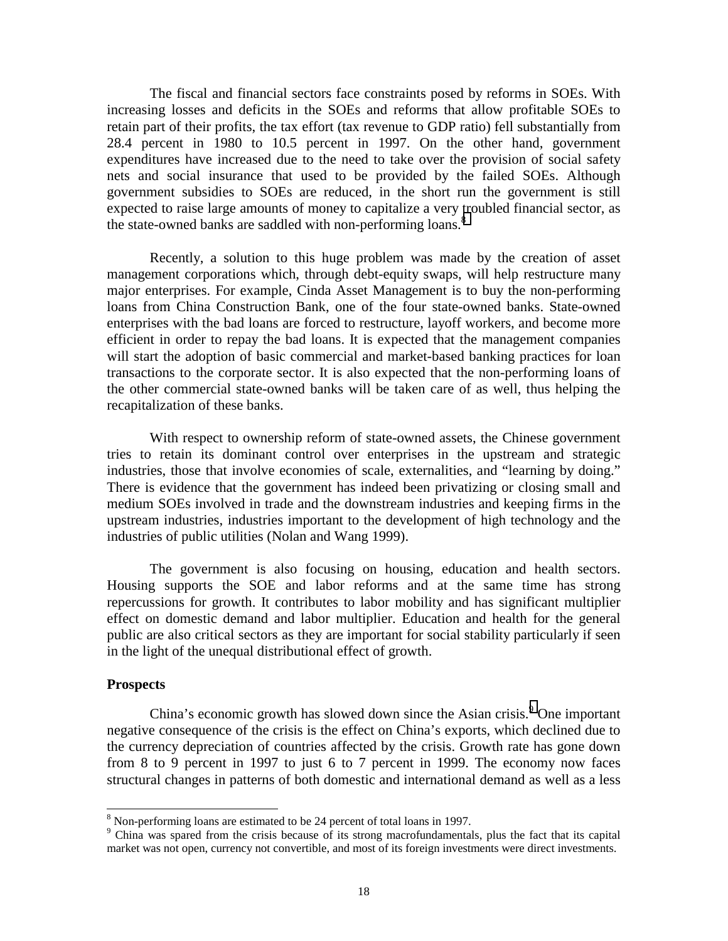The fiscal and financial sectors face constraints posed by reforms in SOEs. With increasing losses and deficits in the SOEs and reforms that allow profitable SOEs to retain part of their profits, the tax effort (tax revenue to GDP ratio) fell substantially from 28.4 percent in 1980 to 10.5 percent in 1997. On the other hand, government expenditures have increased due to the need to take over the provision of social safety nets and social insurance that used to be provided by the failed SOEs. Although government subsidies to SOEs are reduced, in the short run the government is still expected to raise large amounts of money to capitalize a very troubled financial sector, as the state-owned banks are saddled with non-performing loans.<sup>8</sup>

Recently, a solution to this huge problem was made by the creation of asset management corporations which, through debt-equity swaps, will help restructure many major enterprises. For example, Cinda Asset Management is to buy the non-performing loans from China Construction Bank, one of the four state-owned banks. State-owned enterprises with the bad loans are forced to restructure, layoff workers, and become more efficient in order to repay the bad loans. It is expected that the management companies will start the adoption of basic commercial and market-based banking practices for loan transactions to the corporate sector. It is also expected that the non-performing loans of the other commercial state-owned banks will be taken care of as well, thus helping the recapitalization of these banks.

 With respect to ownership reform of state-owned assets, the Chinese government tries to retain its dominant control over enterprises in the upstream and strategic industries, those that involve economies of scale, externalities, and "learning by doing." There is evidence that the government has indeed been privatizing or closing small and medium SOEs involved in trade and the downstream industries and keeping firms in the upstream industries, industries important to the development of high technology and the industries of public utilities (Nolan and Wang 1999).

 The government is also focusing on housing, education and health sectors. Housing supports the SOE and labor reforms and at the same time has strong repercussions for growth. It contributes to labor mobility and has significant multiplier effect on domestic demand and labor multiplier. Education and health for the general public are also critical sectors as they are important for social stability particularly if seen in the light of the unequal distributional effect of growth.

#### **Prospects**

 $\overline{a}$ 

China's economic growth has slowed down since the Asian crisis.<sup>9</sup> One important negative consequence of the crisis is the effect on China's exports, which declined due to the currency depreciation of countries affected by the crisis. Growth rate has gone down from 8 to 9 percent in 1997 to just 6 to 7 percent in 1999. The economy now faces structural changes in patterns of both domestic and international demand as well as a less

<sup>&</sup>lt;sup>8</sup> Non-performing loans are estimated to be 24 percent of total loans in 1997.

<sup>&</sup>lt;sup>9</sup> China was spared from the crisis because of its strong macrofundamentals, plus the fact that its capital market was not open, currency not convertible, and most of its foreign investments were direct investments.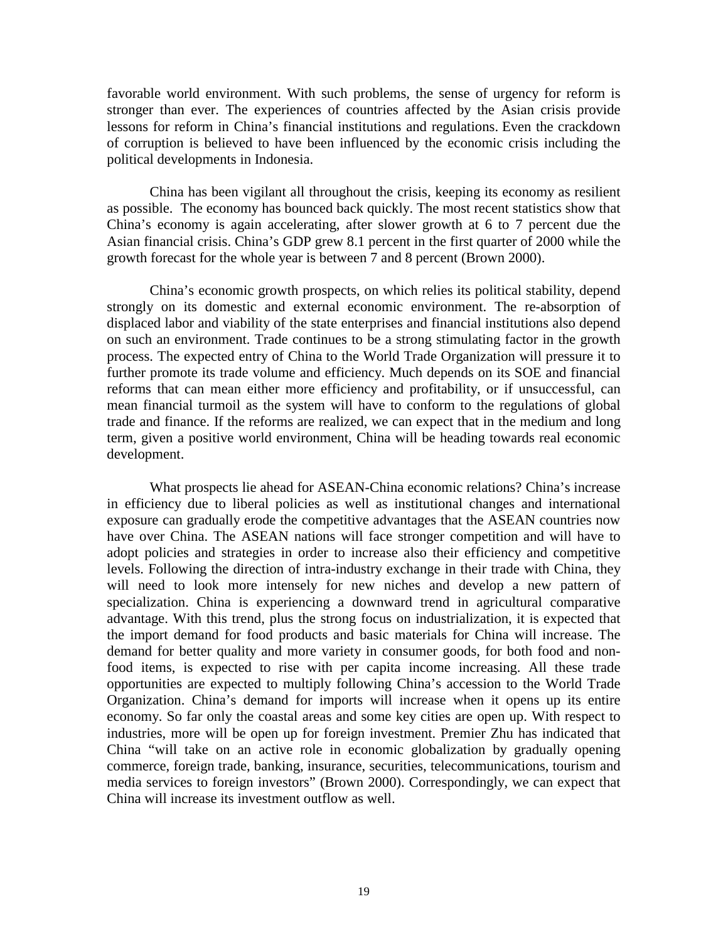favorable world environment. With such problems, the sense of urgency for reform is stronger than ever. The experiences of countries affected by the Asian crisis provide lessons for reform in China's financial institutions and regulations. Even the crackdown of corruption is believed to have been influenced by the economic crisis including the political developments in Indonesia.

China has been vigilant all throughout the crisis, keeping its economy as resilient as possible. The economy has bounced back quickly. The most recent statistics show that China's economy is again accelerating, after slower growth at 6 to 7 percent due the Asian financial crisis. China's GDP grew 8.1 percent in the first quarter of 2000 while the growth forecast for the whole year is between 7 and 8 percent (Brown 2000).

 China's economic growth prospects, on which relies its political stability, depend strongly on its domestic and external economic environment. The re-absorption of displaced labor and viability of the state enterprises and financial institutions also depend on such an environment. Trade continues to be a strong stimulating factor in the growth process. The expected entry of China to the World Trade Organization will pressure it to further promote its trade volume and efficiency. Much depends on its SOE and financial reforms that can mean either more efficiency and profitability, or if unsuccessful, can mean financial turmoil as the system will have to conform to the regulations of global trade and finance. If the reforms are realized, we can expect that in the medium and long term, given a positive world environment, China will be heading towards real economic development.

What prospects lie ahead for ASEAN-China economic relations? China's increase in efficiency due to liberal policies as well as institutional changes and international exposure can gradually erode the competitive advantages that the ASEAN countries now have over China. The ASEAN nations will face stronger competition and will have to adopt policies and strategies in order to increase also their efficiency and competitive levels. Following the direction of intra-industry exchange in their trade with China, they will need to look more intensely for new niches and develop a new pattern of specialization. China is experiencing a downward trend in agricultural comparative advantage. With this trend, plus the strong focus on industrialization, it is expected that the import demand for food products and basic materials for China will increase. The demand for better quality and more variety in consumer goods, for both food and nonfood items, is expected to rise with per capita income increasing. All these trade opportunities are expected to multiply following China's accession to the World Trade Organization. China's demand for imports will increase when it opens up its entire economy. So far only the coastal areas and some key cities are open up. With respect to industries, more will be open up for foreign investment. Premier Zhu has indicated that China "will take on an active role in economic globalization by gradually opening commerce, foreign trade, banking, insurance, securities, telecommunications, tourism and media services to foreign investors" (Brown 2000). Correspondingly, we can expect that China will increase its investment outflow as well.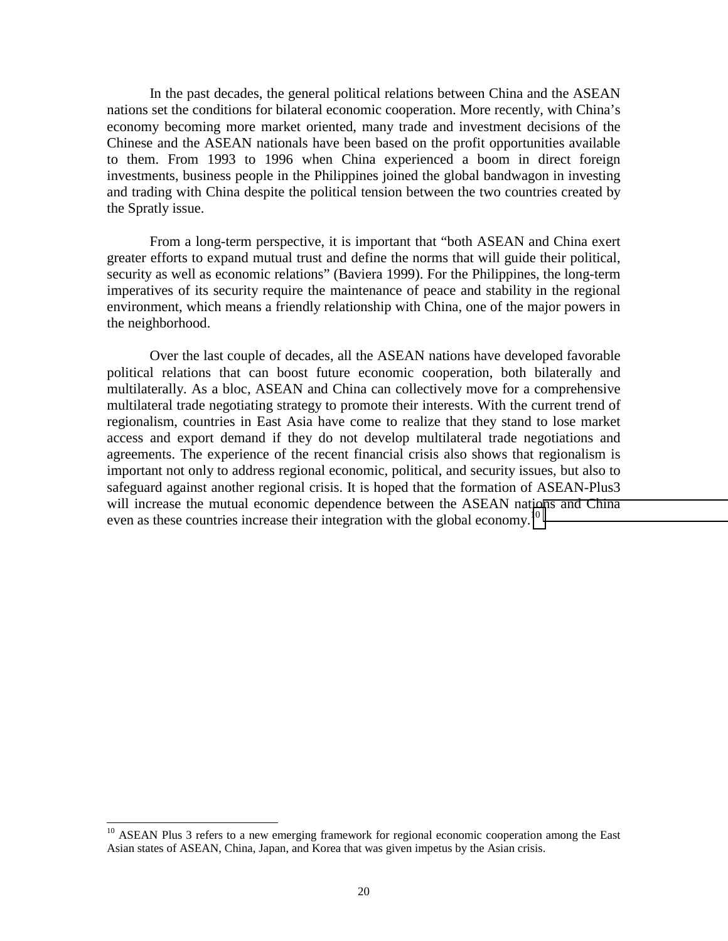In the past decades, the general political relations between China and the ASEAN nations set the conditions for bilateral economic cooperation. More recently, with China's economy becoming more market oriented, many trade and investment decisions of the Chinese and the ASEAN nationals have been based on the profit opportunities available to them. From 1993 to 1996 when China experienced a boom in direct foreign investments, business people in the Philippines joined the global bandwagon in investing and trading with China despite the political tension between the two countries created by the Spratly issue.

 From a long-term perspective, it is important that "both ASEAN and China exert greater efforts to expand mutual trust and define the norms that will guide their political, security as well as economic relations" (Baviera 1999). For the Philippines, the long-term imperatives of its security require the maintenance of peace and stability in the regional environment, which means a friendly relationship with China, one of the major powers in the neighborhood.

 Over the last couple of decades, all the ASEAN nations have developed favorable political relations that can boost future economic cooperation, both bilaterally and multilaterally. As a bloc, ASEAN and China can collectively move for a comprehensive multilateral trade negotiating strategy to promote their interests. With the current trend of regionalism, countries in East Asia have come to realize that they stand to lose market access and export demand if they do not develop multilateral trade negotiations and agreements. The experience of the recent financial crisis also shows that regionalism is important not only to address regional economic, political, and security issues, but also to safeguard against another regional crisis. It is hoped that the formation of ASEAN-Plus3 will increase the mutual economic dependence between the ASEAN nations and China even as these countries increase their integration with the global economy.<sup>10</sup>

 $\overline{\phantom{a}}$ 

 $10$  ASEAN Plus 3 refers to a new emerging framework for regional economic cooperation among the East Asian states of ASEAN, China, Japan, and Korea that was given impetus by the Asian crisis.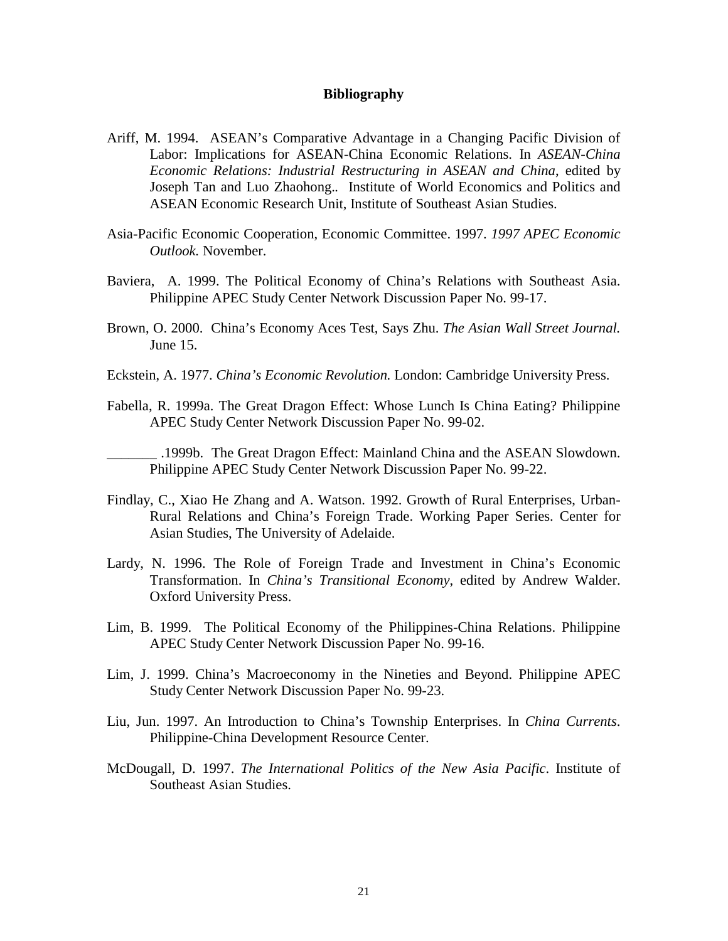#### **Bibliography**

- Ariff, M. 1994. ASEAN's Comparative Advantage in a Changing Pacific Division of Labor: Implications for ASEAN-China Economic Relations. In *ASEAN-China Economic Relations: Industrial Restructuring in ASEAN and China*, edited by Joseph Tan and Luo Zhaohong.*.* Institute of World Economics and Politics and ASEAN Economic Research Unit, Institute of Southeast Asian Studies.
- Asia-Pacific Economic Cooperation, Economic Committee. 1997. *1997 APEC Economic Outlook.* November.
- Baviera, A. 1999. The Political Economy of China's Relations with Southeast Asia. Philippine APEC Study Center Network Discussion Paper No. 99-17.
- Brown, O. 2000. China's Economy Aces Test, Says Zhu. *The Asian Wall Street Journal.* June 15.
- Eckstein, A. 1977. *China's Economic Revolution.* London: Cambridge University Press.
- Fabella, R. 1999a. The Great Dragon Effect: Whose Lunch Is China Eating? Philippine APEC Study Center Network Discussion Paper No. 99-02.

\_\_\_\_\_\_\_ .1999b. The Great Dragon Effect: Mainland China and the ASEAN Slowdown. Philippine APEC Study Center Network Discussion Paper No. 99-22.

- Findlay, C., Xiao He Zhang and A. Watson. 1992. Growth of Rural Enterprises, Urban-Rural Relations and China's Foreign Trade. Working Paper Series. Center for Asian Studies, The University of Adelaide.
- Lardy, N. 1996. The Role of Foreign Trade and Investment in China's Economic Transformation. In *China's Transitional Economy*, edited by Andrew Walder. Oxford University Press.
- Lim, B. 1999. The Political Economy of the Philippines-China Relations. Philippine APEC Study Center Network Discussion Paper No. 99-16.
- Lim, J. 1999. China's Macroeconomy in the Nineties and Beyond. Philippine APEC Study Center Network Discussion Paper No. 99-23.
- Liu, Jun. 1997. An Introduction to China's Township Enterprises. In *China Currents*. Philippine-China Development Resource Center.
- McDougall, D. 1997. *The International Politics of the New Asia Pacific*. Institute of Southeast Asian Studies.